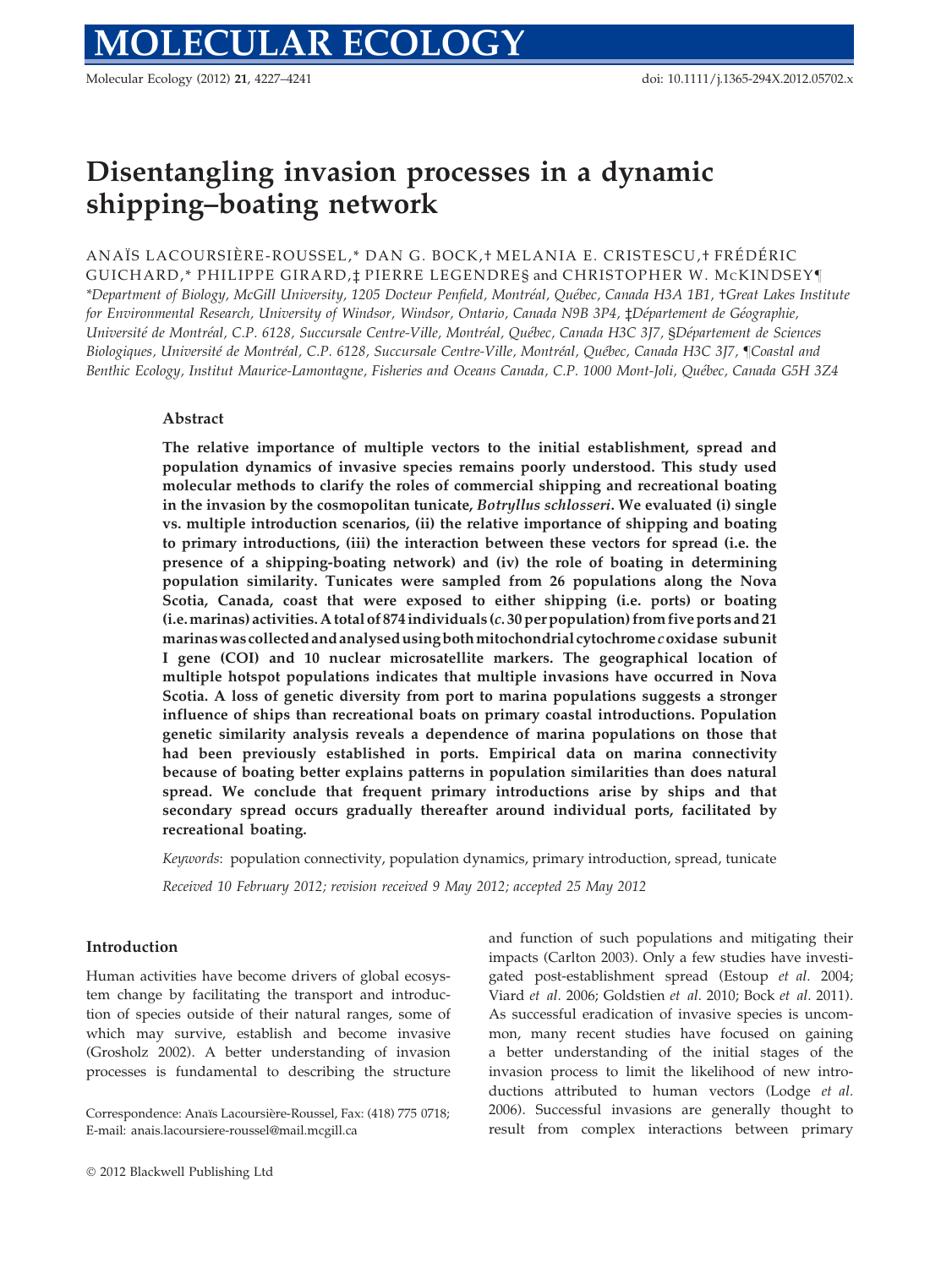Molecular Ecology (2012) 21, 4227–4241 doi: 10.1111/j.1365-294X.2012.05702.x

# Disentangling invasion processes in a dynamic shipping–boating network

ANAÏS LACOURSIÈRE-ROUSSEL,\* DAN G. BOCK,† MELANIA E. CRISTESCU,† FRÉDÉRIC GUICHARD,\* PHILIPPE GIRARD,‡ PIERRE LEGENDRE§ and CHRISTOPHER W. MCKINDSEY– \*Department of Biology, McGill University, 1205 Docteur Penfield, Montréal, Québec, Canada H3A 1B1, †Great Lakes Institute for Environmental Research, University of Windsor, Windsor, Ontario, Canada N9B 3P4, ‡Département de Géographie, Université de Montréal, C.P. 6128, Succursale Centre-Ville, Montréal, Québec, Canada H3C 3J7, §Département de Sciences Biologiques, Université de Montréal, C.P. 6128, Succursale Centre-Ville, Montréal, Québec, Canada H3C 3J7, ¶Coastal and Benthic Ecology, Institut Maurice-Lamontagne, Fisheries and Oceans Canada, C.P. 1000 Mont-Joli, Québec, Canada G5H 3Z4

# Abstract

The relative importance of multiple vectors to the initial establishment, spread and population dynamics of invasive species remains poorly understood. This study used molecular methods to clarify the roles of commercial shipping and recreational boating in the invasion by the cosmopolitan tunicate, Botryllus schlosseri. We evaluated (i) single vs. multiple introduction scenarios, (ii) the relative importance of shipping and boating to primary introductions, (iii) the interaction between these vectors for spread (i.e. the presence of a shipping-boating network) and (iv) the role of boating in determining population similarity. Tunicates were sampled from 26 populations along the Nova Scotia, Canada, coast that were exposed to either shipping (i.e. ports) or boating (i.e.marinas) activities. A total of 874 individuals (c. 30 per population) from five ports and 21 marinaswascollected and analysedusingbothmitochondrial cytochromecoxidase subunit I gene (COI) and 10 nuclear microsatellite markers. The geographical location of multiple hotspot populations indicates that multiple invasions have occurred in Nova Scotia. A loss of genetic diversity from port to marina populations suggests a stronger influence of ships than recreational boats on primary coastal introductions. Population genetic similarity analysis reveals a dependence of marina populations on those that had been previously established in ports. Empirical data on marina connectivity because of boating better explains patterns in population similarities than does natural spread. We conclude that frequent primary introductions arise by ships and that secondary spread occurs gradually thereafter around individual ports, facilitated by recreational boating.

Keywords: population connectivity, population dynamics, primary introduction, spread, tunicate

Received 10 February 2012; revision received 9 May 2012; accepted 25 May 2012

## Introduction

Human activities have become drivers of global ecosystem change by facilitating the transport and introduction of species outside of their natural ranges, some of which may survive, establish and become invasive (Grosholz 2002). A better understanding of invasion processes is fundamental to describing the structure and function of such populations and mitigating their impacts (Carlton 2003). Only a few studies have investigated post-establishment spread (Estoup et al. 2004; Viard et al. 2006; Goldstien et al. 2010; Bock et al. 2011). As successful eradication of invasive species is uncommon, many recent studies have focused on gaining a better understanding of the initial stages of the invasion process to limit the likelihood of new introductions attributed to human vectors (Lodge et al. 2006). Successful invasions are generally thought to result from complex interactions between primary

Correspondence: Anaïs Lacoursière-Roussel, Fax: (418) 775 0718; E-mail: anais.lacoursiere-roussel@mail.mcgill.ca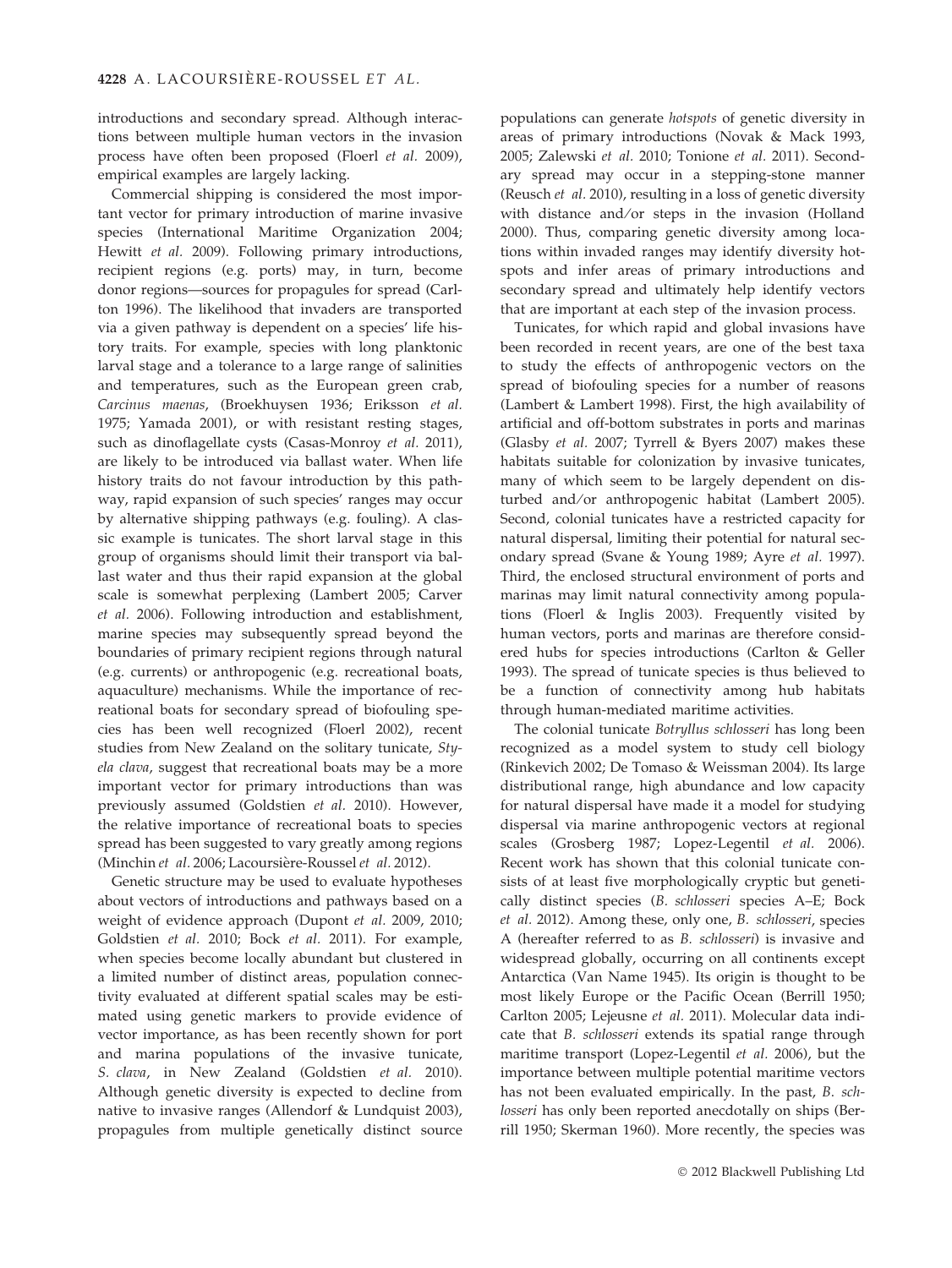introductions and secondary spread. Although interactions between multiple human vectors in the invasion process have often been proposed (Floerl et al. 2009), empirical examples are largely lacking.

Commercial shipping is considered the most important vector for primary introduction of marine invasive species (International Maritime Organization 2004; Hewitt et al. 2009). Following primary introductions, recipient regions (e.g. ports) may, in turn, become donor regions—sources for propagules for spread (Carlton 1996). The likelihood that invaders are transported via a given pathway is dependent on a species' life history traits. For example, species with long planktonic larval stage and a tolerance to a large range of salinities and temperatures, such as the European green crab, Carcinus maenas, (Broekhuysen 1936; Eriksson et al. 1975; Yamada 2001), or with resistant resting stages, such as dinoflagellate cysts (Casas-Monroy et al. 2011), are likely to be introduced via ballast water. When life history traits do not favour introduction by this pathway, rapid expansion of such species' ranges may occur by alternative shipping pathways (e.g. fouling). A classic example is tunicates. The short larval stage in this group of organisms should limit their transport via ballast water and thus their rapid expansion at the global scale is somewhat perplexing (Lambert 2005; Carver et al. 2006). Following introduction and establishment, marine species may subsequently spread beyond the boundaries of primary recipient regions through natural (e.g. currents) or anthropogenic (e.g. recreational boats, aquaculture) mechanisms. While the importance of recreational boats for secondary spread of biofouling species has been well recognized (Floerl 2002), recent studies from New Zealand on the solitary tunicate, Styela clava, suggest that recreational boats may be a more important vector for primary introductions than was previously assumed (Goldstien et al. 2010). However, the relative importance of recreational boats to species spread has been suggested to vary greatly among regions (Minchin et al. 2006; Lacoursière-Roussel et al. 2012).

Genetic structure may be used to evaluate hypotheses about vectors of introductions and pathways based on a weight of evidence approach (Dupont et al. 2009, 2010; Goldstien et al. 2010; Bock et al. 2011). For example, when species become locally abundant but clustered in a limited number of distinct areas, population connectivity evaluated at different spatial scales may be estimated using genetic markers to provide evidence of vector importance, as has been recently shown for port and marina populations of the invasive tunicate, S. clava, in New Zealand (Goldstien et al. 2010). Although genetic diversity is expected to decline from native to invasive ranges (Allendorf & Lundquist 2003), propagules from multiple genetically distinct source

populations can generate hotspots of genetic diversity in areas of primary introductions (Novak & Mack 1993, 2005; Zalewski et al. 2010; Tonione et al. 2011). Secondary spread may occur in a stepping-stone manner (Reusch et al. 2010), resulting in a loss of genetic diversity with distance and/or steps in the invasion (Holland 2000). Thus, comparing genetic diversity among locations within invaded ranges may identify diversity hotspots and infer areas of primary introductions and secondary spread and ultimately help identify vectors that are important at each step of the invasion process.

Tunicates, for which rapid and global invasions have been recorded in recent years, are one of the best taxa to study the effects of anthropogenic vectors on the spread of biofouling species for a number of reasons (Lambert & Lambert 1998). First, the high availability of artificial and off-bottom substrates in ports and marinas (Glasby et al. 2007; Tyrrell & Byers 2007) makes these habitats suitable for colonization by invasive tunicates, many of which seem to be largely dependent on disturbed and/or anthropogenic habitat (Lambert 2005). Second, colonial tunicates have a restricted capacity for natural dispersal, limiting their potential for natural secondary spread (Svane & Young 1989; Ayre et al. 1997). Third, the enclosed structural environment of ports and marinas may limit natural connectivity among populations (Floerl & Inglis 2003). Frequently visited by human vectors, ports and marinas are therefore considered hubs for species introductions (Carlton & Geller 1993). The spread of tunicate species is thus believed to be a function of connectivity among hub habitats through human-mediated maritime activities.

The colonial tunicate Botryllus schlosseri has long been recognized as a model system to study cell biology (Rinkevich 2002; De Tomaso & Weissman 2004). Its large distributional range, high abundance and low capacity for natural dispersal have made it a model for studying dispersal via marine anthropogenic vectors at regional scales (Grosberg 1987; Lopez-Legentil et al. 2006). Recent work has shown that this colonial tunicate consists of at least five morphologically cryptic but genetically distinct species (B. schlosseri species A–E; Bock et al. 2012). Among these, only one, B. schlosseri, species A (hereafter referred to as B. schlosseri) is invasive and widespread globally, occurring on all continents except Antarctica (Van Name 1945). Its origin is thought to be most likely Europe or the Pacific Ocean (Berrill 1950; Carlton 2005; Lejeusne et al. 2011). Molecular data indicate that B. schlosseri extends its spatial range through maritime transport (Lopez-Legentil et al. 2006), but the importance between multiple potential maritime vectors has not been evaluated empirically. In the past, B. schlosseri has only been reported anecdotally on ships (Berrill 1950; Skerman 1960). More recently, the species was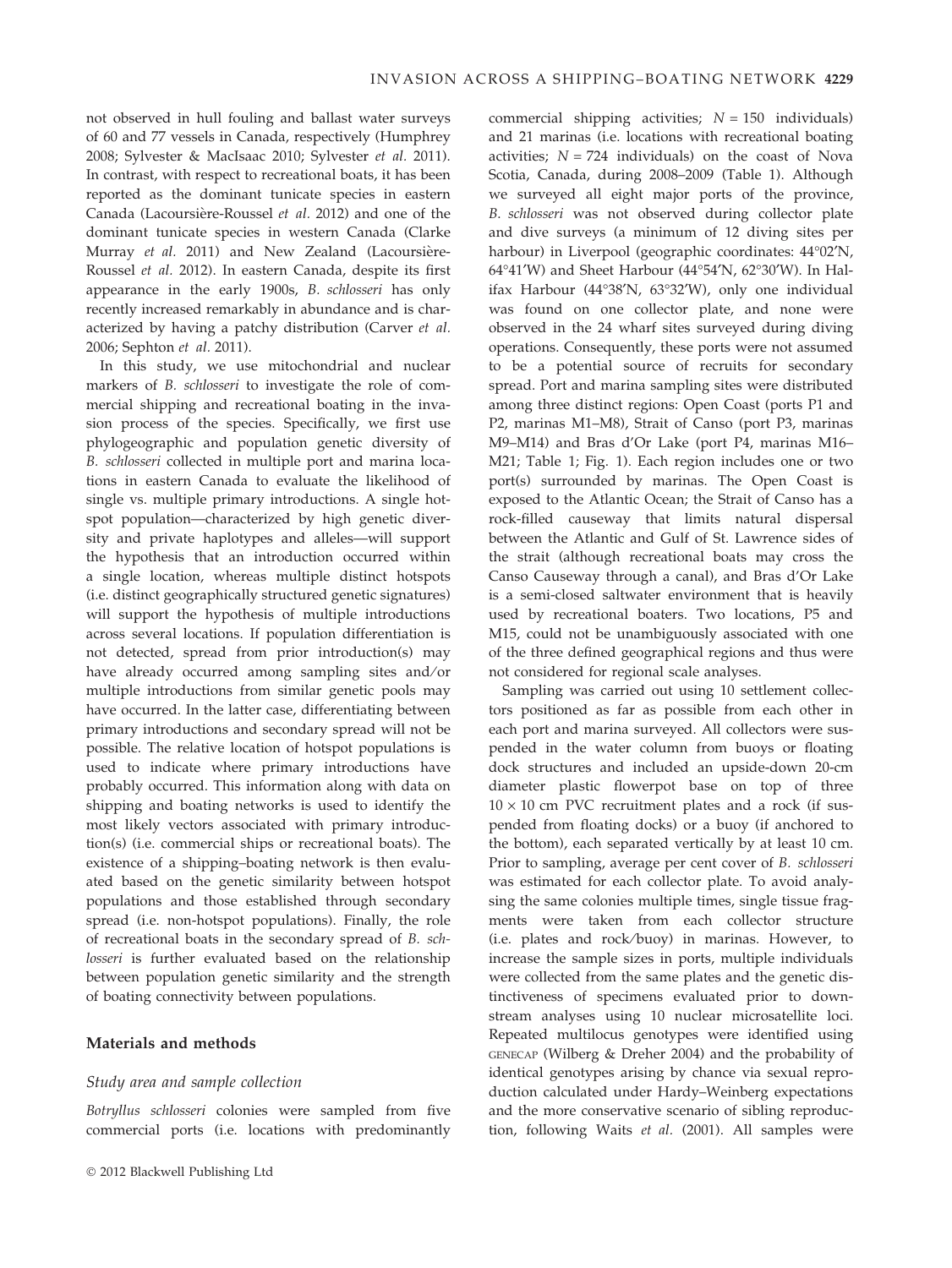not observed in hull fouling and ballast water surveys of 60 and 77 vessels in Canada, respectively (Humphrey 2008; Sylvester & MacIsaac 2010; Sylvester et al. 2011). In contrast, with respect to recreational boats, it has been reported as the dominant tunicate species in eastern Canada (Lacoursière-Roussel et al. 2012) and one of the dominant tunicate species in western Canada (Clarke Murray et al. 2011) and New Zealand (Lacoursière-Roussel et al. 2012). In eastern Canada, despite its first appearance in the early 1900s, B. schlosseri has only recently increased remarkably in abundance and is characterized by having a patchy distribution (Carver et al. 2006; Sephton et al. 2011).

In this study, we use mitochondrial and nuclear markers of B. schlosseri to investigate the role of commercial shipping and recreational boating in the invasion process of the species. Specifically, we first use phylogeographic and population genetic diversity of B. schlosseri collected in multiple port and marina locations in eastern Canada to evaluate the likelihood of single vs. multiple primary introductions. A single hotspot population—characterized by high genetic diversity and private haplotypes and alleles—will support the hypothesis that an introduction occurred within a single location, whereas multiple distinct hotspots (i.e. distinct geographically structured genetic signatures) will support the hypothesis of multiple introductions across several locations. If population differentiation is not detected, spread from prior introduction(s) may have already occurred among sampling sites and/or multiple introductions from similar genetic pools may have occurred. In the latter case, differentiating between primary introductions and secondary spread will not be possible. The relative location of hotspot populations is used to indicate where primary introductions have probably occurred. This information along with data on shipping and boating networks is used to identify the most likely vectors associated with primary introduction(s) (i.e. commercial ships or recreational boats). The existence of a shipping–boating network is then evaluated based on the genetic similarity between hotspot populations and those established through secondary spread (i.e. non-hotspot populations). Finally, the role of recreational boats in the secondary spread of B. schlosseri is further evaluated based on the relationship between population genetic similarity and the strength of boating connectivity between populations.

### Materials and methods

#### Study area and sample collection

Botryllus schlosseri colonies were sampled from five commercial ports (i.e. locations with predominantly commercial shipping activities;  $N = 150$  individuals) and 21 marinas (i.e. locations with recreational boating activities:  $N = 724$  individuals) on the coast of Nova Scotia, Canada, during 2008–2009 (Table 1). Although we surveyed all eight major ports of the province, B. schlosseri was not observed during collector plate and dive surveys (a minimum of 12 diving sites per harbour) in Liverpool (geographic coordinates:  $44^{\circ}02'N$ , 64°41′W) and Sheet Harbour (44°54′N, 62°30′W). In Halifax Harbour (44°38'N, 63°32'W), only one individual was found on one collector plate, and none were observed in the 24 wharf sites surveyed during diving operations. Consequently, these ports were not assumed to be a potential source of recruits for secondary spread. Port and marina sampling sites were distributed among three distinct regions: Open Coast (ports P1 and P2, marinas M1–M8), Strait of Canso (port P3, marinas M9–M14) and Bras d'Or Lake (port P4, marinas M16– M21; Table 1; Fig. 1). Each region includes one or two port(s) surrounded by marinas. The Open Coast is exposed to the Atlantic Ocean; the Strait of Canso has a rock-filled causeway that limits natural dispersal between the Atlantic and Gulf of St. Lawrence sides of the strait (although recreational boats may cross the Canso Causeway through a canal), and Bras d'Or Lake is a semi-closed saltwater environment that is heavily used by recreational boaters. Two locations, P5 and M15, could not be unambiguously associated with one of the three defined geographical regions and thus were not considered for regional scale analyses.

Sampling was carried out using 10 settlement collectors positioned as far as possible from each other in each port and marina surveyed. All collectors were suspended in the water column from buoys or floating dock structures and included an upside-down 20-cm diameter plastic flowerpot base on top of three  $10 \times 10$  cm PVC recruitment plates and a rock (if suspended from floating docks) or a buoy (if anchored to the bottom), each separated vertically by at least 10 cm. Prior to sampling, average per cent cover of B. schlosseri was estimated for each collector plate. To avoid analysing the same colonies multiple times, single tissue fragments were taken from each collector structure (i.e. plates and rock ⁄ buoy) in marinas. However, to increase the sample sizes in ports, multiple individuals were collected from the same plates and the genetic distinctiveness of specimens evaluated prior to downstream analyses using 10 nuclear microsatellite loci. Repeated multilocus genotypes were identified using GENECAP (Wilberg & Dreher 2004) and the probability of identical genotypes arising by chance via sexual reproduction calculated under Hardy–Weinberg expectations and the more conservative scenario of sibling reproduction, following Waits et al. (2001). All samples were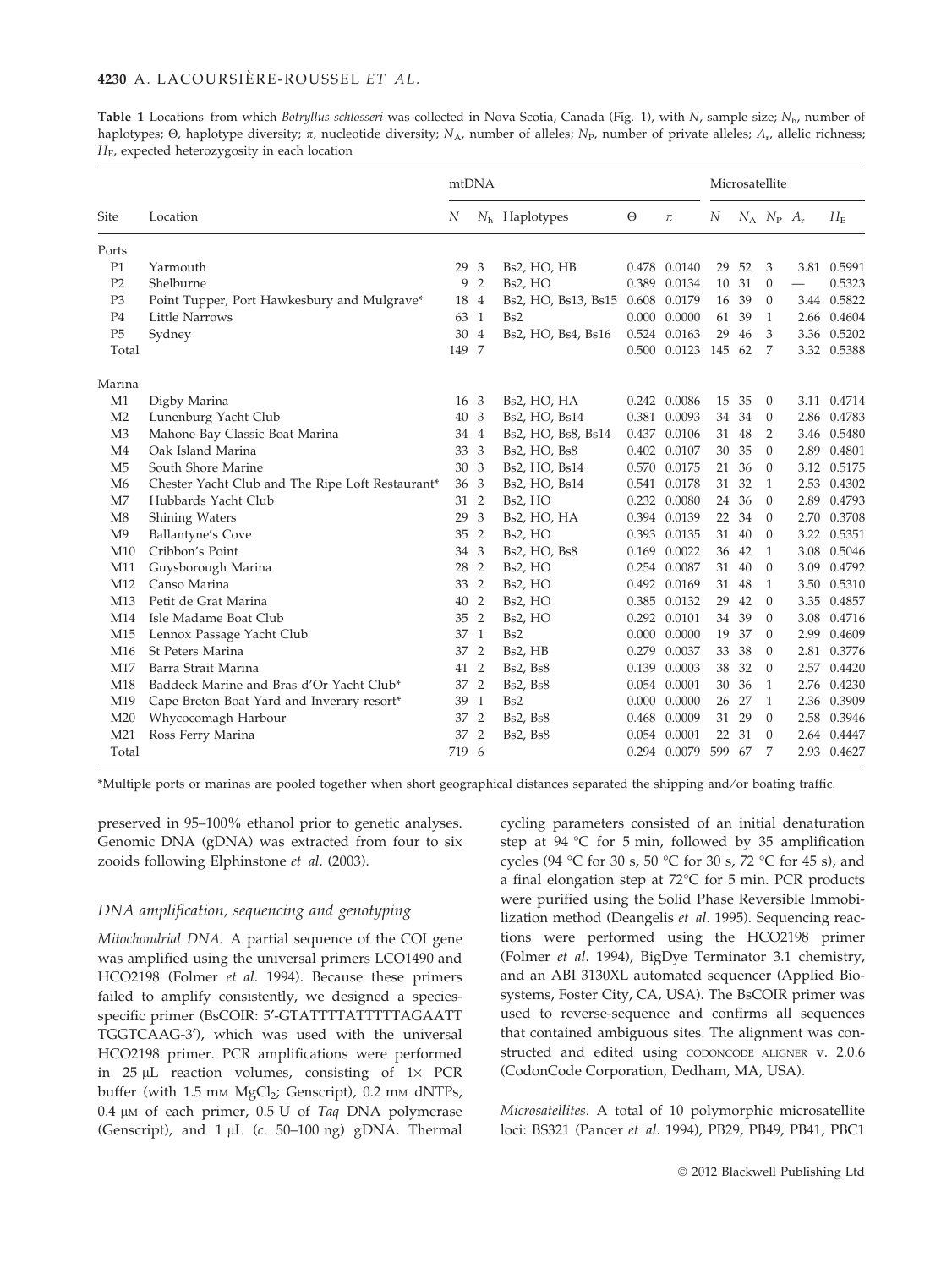Table 1 Locations from which Botryllus schlosseri was collected in Nova Scotia, Canada (Fig. 1), with N, sample size;  $N_{\rm b}$ , number of haplotypes;  $\Theta$ , haplotype diversity;  $\pi$ , nucleotide diversity;  $N_A$ , number of alleles;  $N_P$ , number of private alleles;  $A_r$ , allelic richness;  $H<sub>E</sub>$ , expected heterozygosity in each location

|                 |                                                  | mtDNA |                |                         |          | Microsatellite       |        |       |                   |      |             |
|-----------------|--------------------------------------------------|-------|----------------|-------------------------|----------|----------------------|--------|-------|-------------------|------|-------------|
| <b>Site</b>     | Location                                         | N     |                | $Nh$ Haplotypes         | $\Theta$ | $\pi$                | N      |       | $N_A$ $N_P$ $A_r$ |      | $H_{\rm E}$ |
| Ports           |                                                  |       |                |                         |          |                      |        |       |                   |      |             |
| P1              | Yarmouth                                         | 29    | 3              | Bs2, HO, HB             |          | 0.478 0.0140         | 29     | 52    | 3                 |      | 3.81 0.5991 |
| P <sub>2</sub>  | Shelburne                                        | 9     | $\overline{2}$ | Bs2, HO                 |          | 0.389 0.0134         | 10     | 31    | $\theta$          |      | 0.5323      |
| P <sub>3</sub>  | Point Tupper, Port Hawkesbury and Mulgrave*      | 18    | $\overline{4}$ | Bs2, HO, Bs13, Bs15     | 0.608    | 0.0179               | 16     | 39    | $\theta$          |      | 3.44 0.5822 |
| P <sub>4</sub>  | <b>Little Narrows</b>                            | 63    | $\mathbf{1}$   | B <sub>s2</sub>         | 0.000    | 0.0000               | 61     | 39    | 1                 |      | 2.66 0.4604 |
| P <sub>5</sub>  | Sydney                                           | 30    | $\overline{4}$ | Bs2, HO, Bs4, Bs16      |          | 0.524 0.0163         | 29     | 46    | 3                 |      | 3.36 0.5202 |
| Total           |                                                  | 149 7 |                |                         |          | 0.500 0.0123         | 145 62 |       | 7                 |      | 3.32 0.5388 |
| Marina          |                                                  |       |                |                         |          |                      |        |       |                   |      |             |
| M1              | Digby Marina                                     | 16    | 3              | Bs2, HO, HA             |          | 0.242 0.0086         |        | 15 35 | $\theta$          |      | 3.11 0.4714 |
| M <sub>2</sub>  | Lunenburg Yacht Club                             | 40    | 3              | Bs2, HO, Bs14           |          | 0.381 0.0093         | 34     | 34    | $\theta$          |      | 2.86 0.4783 |
| M <sub>3</sub>  | Mahone Bay Classic Boat Marina                   | 34    | $\overline{4}$ | Bs2, HO, Bs8, Bs14      |          | 0.437 0.0106         | 31     | 48    | 2                 |      | 3.46 0.5480 |
| M <sub>4</sub>  | Oak Island Marina                                | 33    | 3              | Bs2, HO, Bs8            |          | 0.402 0.0107         | 30     | 35    | $\theta$          | 2.89 | 0.4801      |
| M <sub>5</sub>  | South Shore Marine                               | 30    | 3              | Bs2, HO, Bs14           | 0.570    | 0.0175               | 21     | 36    | $\Omega$          | 3.12 | 0.5175      |
| M6              | Chester Yacht Club and The Ripe Loft Restaurant* | 36    | 3              | Bs2, HO, Bs14           | 0.541    | 0.0178               | 31     | 32    | 1                 |      | 2.53 0.4302 |
| M <sub>7</sub>  | Hubbards Yacht Club                              | 31    | $\overline{2}$ | Bs2, HO                 |          | 0.232 0.0080         | 24     | 36    | $\Omega$          | 2.89 | 0.4793      |
| M8              | Shining Waters                                   | 29    | 3              | Bs2, HO, HA             |          | 0.394 0.0139         | 22     | 34    | $\theta$          | 2.70 | 0.3708      |
| M <sup>9</sup>  | <b>Ballantyne's Cove</b>                         | 35    | $\overline{2}$ | Bs2, HO                 |          | 0.393 0.0135         | 31     | 40    | $\theta$          | 3.22 | 0.5351      |
| M10             | Cribbon's Point                                  | 34    | 3              | Bs2, HO, Bs8            |          | 0.169 0.0022         | 36     | 42    | 1                 | 3.08 | 0.5046      |
| M11             | Guysborough Marina                               | 28    | $\overline{2}$ | Bs2, HO                 |          | 0.254 0.0087         | 31     | 40    | $\theta$          | 3.09 | 0.4792      |
| M12             | Canso Marina                                     | 33    | $\overline{2}$ | Bs2, HO                 |          | 0.492 0.0169         | 31     | 48    | 1                 |      | 3.50 0.5310 |
| M13             | Petit de Grat Marina                             | 40    | $\overline{2}$ | Bs2, HO                 |          | 0.385 0.0132         | 29     | 42    | $\theta$          |      | 3.35 0.4857 |
| M14             | Isle Madame Boat Club                            | 35    | $\overline{2}$ | Bs2, HO                 |          | 0.292 0.0101         | 34     | 39    | $\theta$          | 3.08 | 0.4716      |
| M <sub>15</sub> | Lennox Passage Yacht Club                        | 37    | $\overline{1}$ | Bs2                     | 0.000    | 0.0000               | 19     | 37    | $\theta$          | 2.99 | 0.4609      |
| M <sub>16</sub> | St Peters Marina                                 | 37    | $\overline{2}$ | Bs2, HB                 | 0.279    | 0.0037               | 33     | 38    | $\Omega$          | 2.81 | 0.3776      |
| M17             | Barra Strait Marina                              | 41    | $\overline{2}$ | <b>Bs2, Bs8</b>         | 0.139    | 0.0003               | 38     | 32    | $\theta$          | 2.57 | 0.4420      |
| M18             | Baddeck Marine and Bras d'Or Yacht Club*         | 37    | $\overline{2}$ | <b>Bs2</b> , <b>Bs8</b> |          | 0.054 0.0001         | 30     | 36    | 1                 |      | 2.76 0.4230 |
| M19             | Cape Breton Boat Yard and Inverary resort*       | 39    | 1              | B <sub>s2</sub>         |          | $0.000 \quad 0.0000$ | 26     | 27    | 1                 |      | 2.36 0.3909 |
| M20             | Whycocomagh Harbour                              | 37    | $\overline{2}$ | <b>Bs2</b> , <b>Bs8</b> |          | 0.468 0.0009         | 31     | 29    | $\theta$          |      | 2.58 0.3946 |
| M21             | Ross Ferry Marina                                | 37    | $\overline{2}$ | <b>Bs2, Bs8</b>         |          | 0.054 0.0001         | 22     | 31    | $\Omega$          |      | 2.64 0.4447 |
| Total           |                                                  | 719 6 |                |                         |          | 0.294 0.0079         | 599    | 67    | 7                 |      | 2.93 0.4627 |

\*Multiple ports or marinas are pooled together when short geographical distances separated the shipping and ⁄ or boating traffic.

preserved in 95–100% ethanol prior to genetic analyses. Genomic DNA (gDNA) was extracted from four to six zooids following Elphinstone et al. (2003).

### DNA amplification, sequencing and genotyping

Mitochondrial DNA. A partial sequence of the COI gene was amplified using the universal primers LCO1490 and HCO2198 (Folmer et al. 1994). Because these primers failed to amplify consistently, we designed a speciesspecific primer (BsCOIR: 5'-GTATTTTATTTTTAGAATT TGGTCAAG-3'), which was used with the universal HCO2198 primer. PCR amplifications were performed in  $25 \mu L$  reaction volumes, consisting of  $1 \times PCR$ buffer (with  $1.5$  mm  $MgCl<sub>2</sub>$ ; Genscript), 0.2 mm dNTPs, 0.4  $\mu$ M of each primer, 0.5 U of Taq DNA polymerase (Genscript), and  $1 \mu L$  (c. 50–100 ng) gDNA. Thermal

cycling parameters consisted of an initial denaturation step at 94 °C for 5 min, followed by 35 amplification cycles (94 °C for 30 s, 50 °C for 30 s, 72 °C for 45 s), and a final elongation step at  $72^{\circ}$ C for 5 min. PCR products were purified using the Solid Phase Reversible Immobilization method (Deangelis et al. 1995). Sequencing reactions were performed using the HCO2198 primer (Folmer et al. 1994), BigDye Terminator 3.1 chemistry, and an ABI 3130XL automated sequencer (Applied Biosystems, Foster City, CA, USA). The BsCOIR primer was used to reverse-sequence and confirms all sequences that contained ambiguous sites. The alignment was constructed and edited using CODONCODE ALIGNER v. 2.0.6 (CodonCode Corporation, Dedham, MA, USA).

Microsatellites. A total of 10 polymorphic microsatellite loci: BS321 (Pancer et al. 1994), PB29, PB49, PB41, PBC1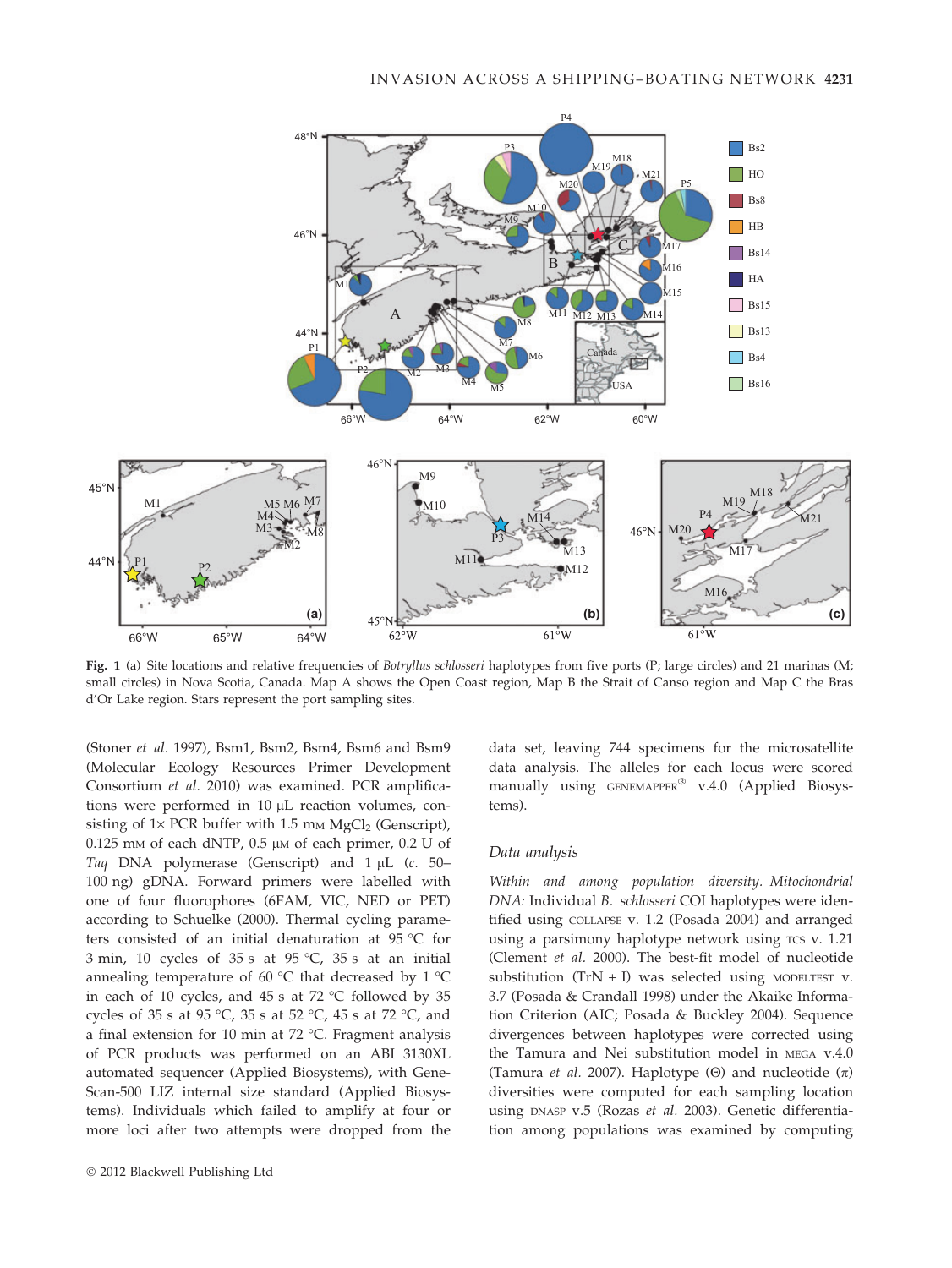

Fig. 1 (a) Site locations and relative frequencies of Botryllus schlosseri haplotypes from five ports (P; large circles) and 21 marinas (M; small circles) in Nova Scotia, Canada. Map A shows the Open Coast region, Map B the Strait of Canso region and Map C the Bras d'Or Lake region. Stars represent the port sampling sites.

(Stoner et al. 1997), Bsm1, Bsm2, Bsm4, Bsm6 and Bsm9 (Molecular Ecology Resources Primer Development Consortium et al. 2010) was examined. PCR amplifications were performed in 10 µL reaction volumes, consisting of  $1\times$  PCR buffer with 1.5 mm MgCl<sub>2</sub> (Genscript),  $0.125$  mm of each dNTP,  $0.5$   $\mu$ m of each primer,  $0.2$  U of Taq DNA polymerase (Genscript) and  $1 \mu$ L (c. 50– 100 ng) gDNA. Forward primers were labelled with one of four fluorophores (6FAM, VIC, NED or PET) according to Schuelke (2000). Thermal cycling parameters consisted of an initial denaturation at 95 °C for 3 min, 10 cycles of 35 s at 95 °C, 35 s at an initial annealing temperature of 60  $^{\circ}$ C that decreased by 1  $^{\circ}$ C in each of 10 cycles, and 45 s at 72  $^{\circ}$ C followed by 35 cycles of 35 s at 95 °C, 35 s at 52 °C, 45 s at 72 °C, and a final extension for 10 min at 72  $^{\circ}$ C. Fragment analysis of PCR products was performed on an ABI 3130XL automated sequencer (Applied Biosystems), with Gene-Scan-500 LIZ internal size standard (Applied Biosystems). Individuals which failed to amplify at four or more loci after two attempts were dropped from the data set, leaving 744 specimens for the microsatellite data analysis. The alleles for each locus were scored manually using GENEMAPPER® v.4.0 (Applied Biosystems).

#### Data analysis

Within and among population diversity. Mitochondrial DNA: Individual B. schlosseri COI haplotypes were identified using COLLAPSE v. 1.2 (Posada 2004) and arranged using a parsimony haplotype network using TCS v. 1.21 (Clement et al. 2000). The best-fit model of nucleotide substitution (TrN + I) was selected using MODELTEST v. 3.7 (Posada & Crandall 1998) under the Akaike Information Criterion (AIC; Posada & Buckley 2004). Sequence divergences between haplotypes were corrected using the Tamura and Nei substitution model in MEGA v.4.0 (Tamura *et al.* 2007). Haplotype ( $\Theta$ ) and nucleotide ( $\pi$ ) diversities were computed for each sampling location using DNASP v.5 (Rozas et al. 2003). Genetic differentiation among populations was examined by computing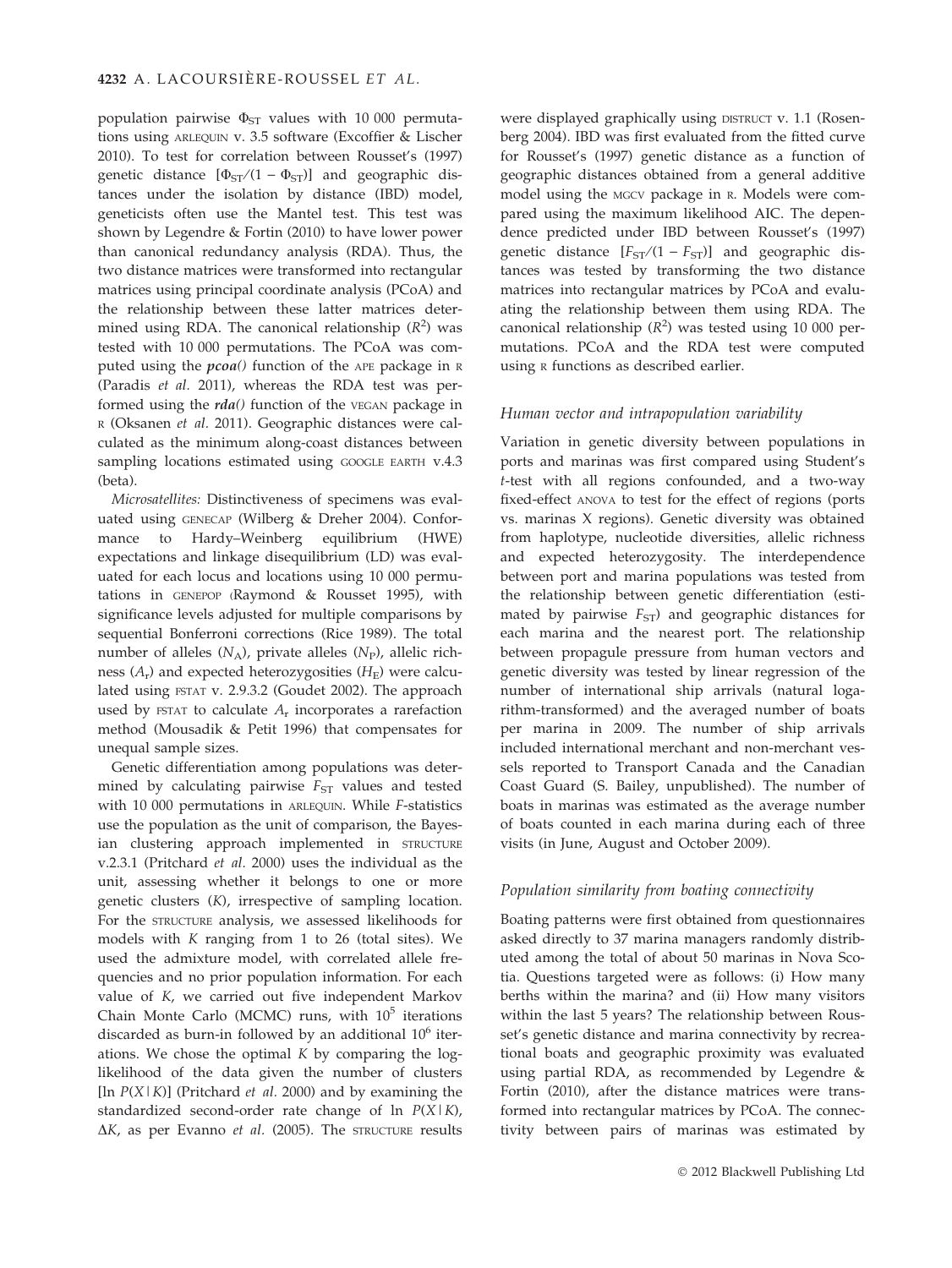population pairwise  $\Phi_{ST}$  values with 10 000 permutations using ARLEQUIN v. 3.5 software (Excoffier & Lischer 2010). To test for correlation between Rousset's (1997) genetic distance  $[\Phi_{ST}/(1 - \Phi_{ST})]$  and geographic distances under the isolation by distance (IBD) model, geneticists often use the Mantel test. This test was shown by Legendre & Fortin (2010) to have lower power than canonical redundancy analysis (RDA). Thus, the two distance matrices were transformed into rectangular matrices using principal coordinate analysis (PCoA) and the relationship between these latter matrices determined using RDA. The canonical relationship  $(R^2)$  was tested with 10 000 permutations. The PCoA was computed using the  $pcoa()$  function of the APE package in  $R$ (Paradis et al. 2011), whereas the RDA test was performed using the  $rda()$  function of the VEGAN package in R (Oksanen et al. 2011). Geographic distances were calculated as the minimum along-coast distances between sampling locations estimated using GOOGLE EARTH v.4.3 (beta).

Microsatellites: Distinctiveness of specimens was evaluated using GENECAP (Wilberg & Dreher 2004). Conformance to Hardy–Weinberg equilibrium (HWE) expectations and linkage disequilibrium (LD) was evaluated for each locus and locations using 10 000 permutations in GENEPOP (Raymond & Rousset 1995), with significance levels adjusted for multiple comparisons by sequential Bonferroni corrections (Rice 1989). The total number of alleles  $(N_A)$ , private alleles  $(N_P)$ , allelic richness  $(A_r)$  and expected heterozygosities  $(H_F)$  were calculated using FSTAT v. 2.9.3.2 (Goudet 2002). The approach used by FSTAT to calculate  $A_r$  incorporates a rarefaction method (Mousadik & Petit 1996) that compensates for unequal sample sizes.

Genetic differentiation among populations was determined by calculating pairwise  $F_{ST}$  values and tested with 10 000 permutations in ARLEQUIN. While F-statistics use the population as the unit of comparison, the Bayesian clustering approach implemented in STRUCTURE v.2.3.1 (Pritchard et al. 2000) uses the individual as the unit, assessing whether it belongs to one or more genetic clusters (K), irrespective of sampling location. For the STRUCTURE analysis, we assessed likelihoods for models with K ranging from 1 to 26 (total sites). We used the admixture model, with correlated allele frequencies and no prior population information. For each value of K, we carried out five independent Markov Chain Monte Carlo (MCMC) runs, with  $10^5$  iterations discarded as burn-in followed by an additional  $10<sup>6</sup>$  iterations. We chose the optimal  $K$  by comparing the loglikelihood of the data given the number of clusters [ $\ln P(X|K)$ ] (Pritchard *et al.* 2000) and by examining the standardized second-order rate change of  $\ln P(X|K)$ ,  $\Delta K$ , as per Evanno et al. (2005). The STRUCTURE results

were displayed graphically using DISTRUCT v. 1.1 (Rosenberg 2004). IBD was first evaluated from the fitted curve for Rousset's (1997) genetic distance as a function of geographic distances obtained from a general additive model using the MGCV package in R. Models were compared using the maximum likelihood AIC. The dependence predicted under IBD between Rousset's (1997) genetic distance  $[F_{ST}/(1 - F_{ST})]$  and geographic distances was tested by transforming the two distance matrices into rectangular matrices by PCoA and evaluating the relationship between them using RDA. The canonical relationship  $(R^2)$  was tested using 10 000 permutations. PCoA and the RDA test were computed using <sup>R</sup> functions as described earlier.

### Human vector and intrapopulation variability

Variation in genetic diversity between populations in ports and marinas was first compared using Student's t-test with all regions confounded, and a two-way fixed-effect ANOVA to test for the effect of regions (ports vs. marinas X regions). Genetic diversity was obtained from haplotype, nucleotide diversities, allelic richness and expected heterozygosity. The interdependence between port and marina populations was tested from the relationship between genetic differentiation (estimated by pairwise  $F_{ST}$ ) and geographic distances for each marina and the nearest port. The relationship between propagule pressure from human vectors and genetic diversity was tested by linear regression of the number of international ship arrivals (natural logarithm-transformed) and the averaged number of boats per marina in 2009. The number of ship arrivals included international merchant and non-merchant vessels reported to Transport Canada and the Canadian Coast Guard (S. Bailey, unpublished). The number of boats in marinas was estimated as the average number of boats counted in each marina during each of three visits (in June, August and October 2009).

## Population similarity from boating connectivity

Boating patterns were first obtained from questionnaires asked directly to 37 marina managers randomly distributed among the total of about 50 marinas in Nova Scotia. Questions targeted were as follows: (i) How many berths within the marina? and (ii) How many visitors within the last 5 years? The relationship between Rousset's genetic distance and marina connectivity by recreational boats and geographic proximity was evaluated using partial RDA, as recommended by Legendre & Fortin (2010), after the distance matrices were transformed into rectangular matrices by PCoA. The connectivity between pairs of marinas was estimated by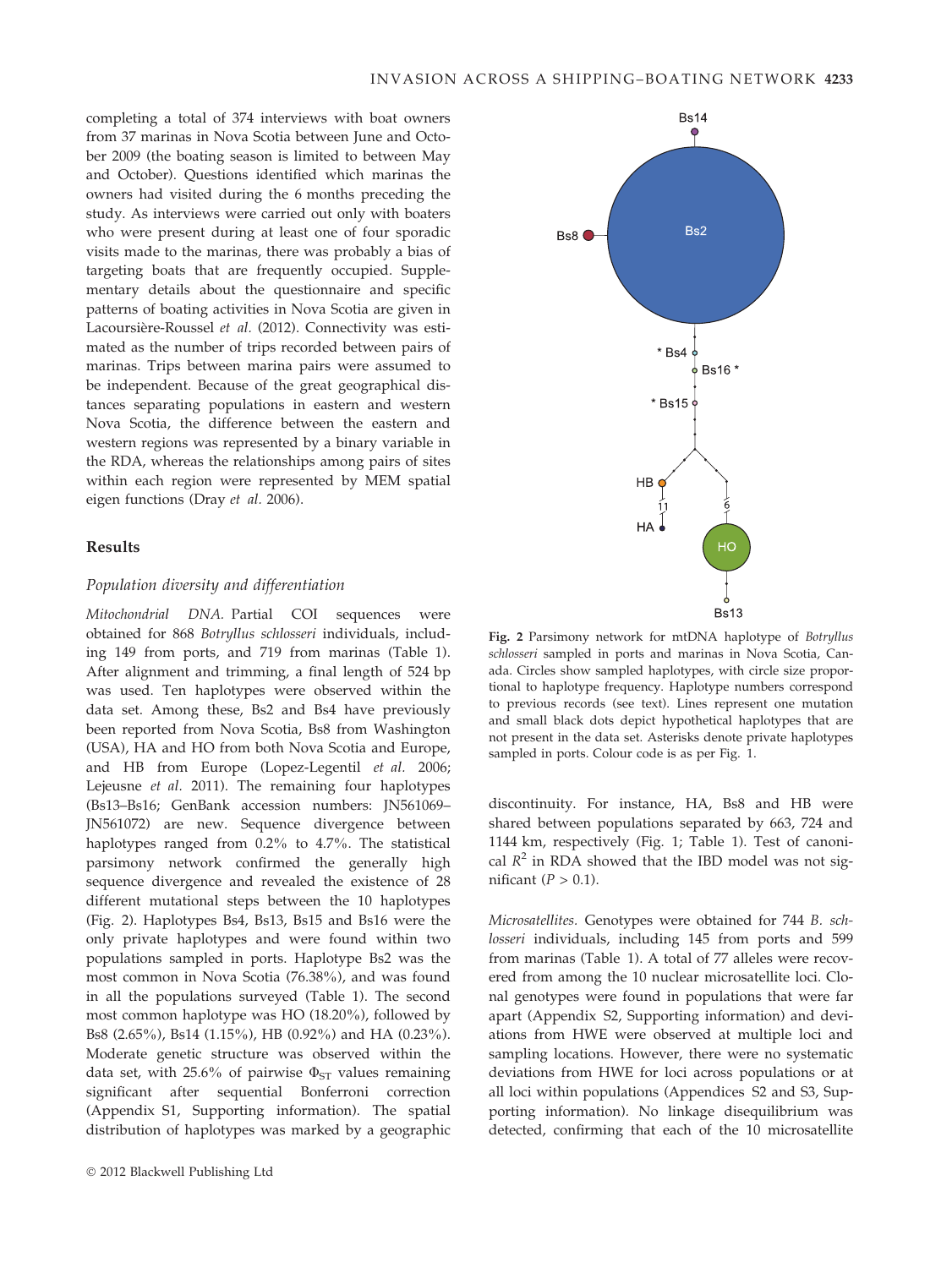completing a total of 374 interviews with boat owners from 37 marinas in Nova Scotia between June and October 2009 (the boating season is limited to between May and October). Questions identified which marinas the owners had visited during the 6 months preceding the study. As interviews were carried out only with boaters who were present during at least one of four sporadic visits made to the marinas, there was probably a bias of targeting boats that are frequently occupied. Supplementary details about the questionnaire and specific patterns of boating activities in Nova Scotia are given in Lacoursière-Roussel et al. (2012). Connectivity was estimated as the number of trips recorded between pairs of marinas. Trips between marina pairs were assumed to be independent. Because of the great geographical distances separating populations in eastern and western Nova Scotia, the difference between the eastern and western regions was represented by a binary variable in the RDA, whereas the relationships among pairs of sites within each region were represented by MEM spatial eigen functions (Dray et al. 2006).

## Results

# Population diversity and differentiation

Mitochondrial DNA. Partial COI sequences were obtained for 868 Botryllus schlosseri individuals, including 149 from ports, and 719 from marinas (Table 1). After alignment and trimming, a final length of 524 bp was used. Ten haplotypes were observed within the data set. Among these, Bs2 and Bs4 have previously been reported from Nova Scotia, Bs8 from Washington (USA), HA and HO from both Nova Scotia and Europe, and HB from Europe (Lopez-Legentil et al. 2006; Lejeusne et al. 2011). The remaining four haplotypes (Bs13–Bs16; GenBank accession numbers: JN561069– JN561072) are new. Sequence divergence between haplotypes ranged from 0.2% to 4.7%. The statistical parsimony network confirmed the generally high sequence divergence and revealed the existence of 28 different mutational steps between the 10 haplotypes (Fig. 2). Haplotypes Bs4, Bs13, Bs15 and Bs16 were the only private haplotypes and were found within two populations sampled in ports. Haplotype Bs2 was the most common in Nova Scotia (76.38%), and was found in all the populations surveyed (Table 1). The second most common haplotype was HO (18.20%), followed by Bs8 (2.65%), Bs14 (1.15%), HB (0.92%) and HA (0.23%). Moderate genetic structure was observed within the data set, with 25.6% of pairwise  $\Phi_{ST}$  values remaining significant after sequential Bonferroni correction (Appendix S1, Supporting information). The spatial distribution of haplotypes was marked by a geographic



Fig. 2 Parsimony network for mtDNA haplotype of Botryllus schlosseri sampled in ports and marinas in Nova Scotia, Canada. Circles show sampled haplotypes, with circle size proportional to haplotype frequency. Haplotype numbers correspond to previous records (see text). Lines represent one mutation and small black dots depict hypothetical haplotypes that are not present in the data set. Asterisks denote private haplotypes sampled in ports. Colour code is as per Fig. 1.

discontinuity. For instance, HA, Bs8 and HB were shared between populations separated by 663, 724 and 1144 km, respectively (Fig. 1; Table 1). Test of canonical  $R^2$  in RDA showed that the IBD model was not significant  $(P > 0.1)$ .

Microsatellites. Genotypes were obtained for 744 B. schlosseri individuals, including 145 from ports and 599 from marinas (Table 1). A total of 77 alleles were recovered from among the 10 nuclear microsatellite loci. Clonal genotypes were found in populations that were far apart (Appendix S2, Supporting information) and deviations from HWE were observed at multiple loci and sampling locations. However, there were no systematic deviations from HWE for loci across populations or at all loci within populations (Appendices S2 and S3, Supporting information). No linkage disequilibrium was detected, confirming that each of the 10 microsatellite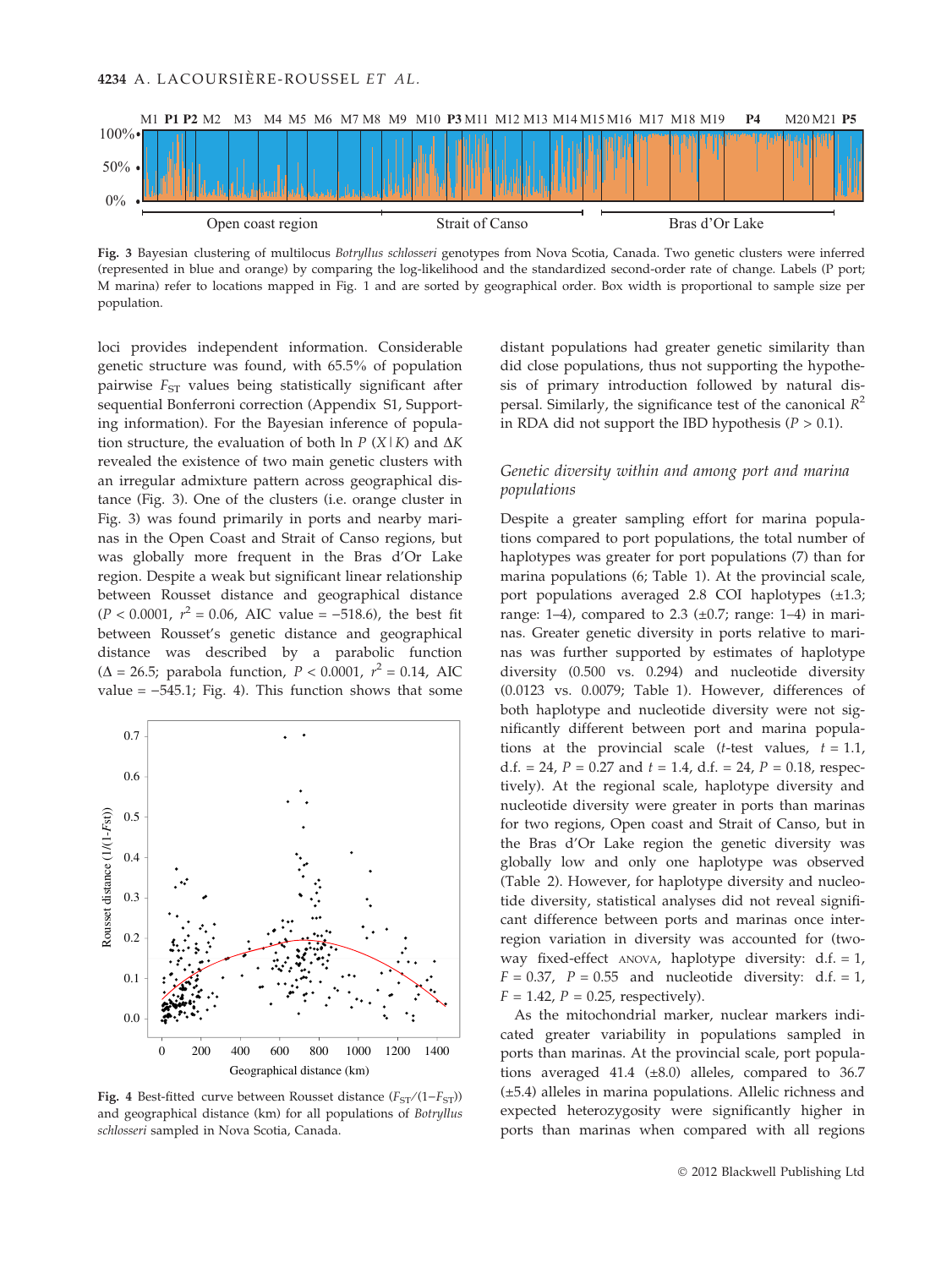

Fig. 3 Bayesian clustering of multilocus Botryllus schlosseri genotypes from Nova Scotia, Canada. Two genetic clusters were inferred (represented in blue and orange) by comparing the log-likelihood and the standardized second-order rate of change. Labels (P port; M marina) refer to locations mapped in Fig. 1 and are sorted by geographical order. Box width is proportional to sample size per population.

loci provides independent information. Considerable genetic structure was found, with 65.5% of population pairwise  $F_{ST}$  values being statistically significant after sequential Bonferroni correction (Appendix S1, Supporting information). For the Bayesian inference of population structure, the evaluation of both ln  $P(X|K)$  and  $\Delta K$ revealed the existence of two main genetic clusters with an irregular admixture pattern across geographical distance (Fig. 3). One of the clusters (i.e. orange cluster in Fig. 3) was found primarily in ports and nearby marinas in the Open Coast and Strait of Canso regions, but was globally more frequent in the Bras d'Or Lake region. Despite a weak but significant linear relationship between Rousset distance and geographical distance  $(P < 0.0001, r<sup>2</sup> = 0.06, AIC value = -518.6)$ , the best fit between Rousset's genetic distance and geographical distance was described by a parabolic function ( $\Delta = 26.5$ ; parabola function,  $P < 0.0001$ ,  $r^2 = 0.14$ , AIC value  $= -545.1$ ; Fig. 4). This function shows that some



Fig. 4 Best-fitted curve between Rousset distance  $(F_{ST}/(1-F_{ST}))$ and geographical distance (km) for all populations of Botryllus schlosseri sampled in Nova Scotia, Canada.

distant populations had greater genetic similarity than did close populations, thus not supporting the hypothesis of primary introduction followed by natural dispersal. Similarly, the significance test of the canonical  $R^2$ in RDA did not support the IBD hypothesis  $(P > 0.1)$ .

# Genetic diversity within and among port and marina populations

Despite a greater sampling effort for marina populations compared to port populations, the total number of haplotypes was greater for port populations (7) than for marina populations (6; Table 1). At the provincial scale, port populations averaged 2.8 COI haplotypes  $(\pm 1.3;$ range: 1–4), compared to 2.3  $(\pm 0.7)$ ; range: 1–4) in marinas. Greater genetic diversity in ports relative to marinas was further supported by estimates of haplotype diversity (0.500 vs. 0.294) and nucleotide diversity (0.0123 vs. 0.0079; Table 1). However, differences of both haplotype and nucleotide diversity were not significantly different between port and marina populations at the provincial scale (*t*-test values,  $t = 1.1$ , d.f. = 24,  $P = 0.27$  and  $t = 1.4$ , d.f. = 24,  $P = 0.18$ , respectively). At the regional scale, haplotype diversity and nucleotide diversity were greater in ports than marinas for two regions, Open coast and Strait of Canso, but in the Bras d'Or Lake region the genetic diversity was globally low and only one haplotype was observed (Table 2). However, for haplotype diversity and nucleotide diversity, statistical analyses did not reveal significant difference between ports and marinas once interregion variation in diversity was accounted for (twoway fixed-effect  $ANOVA$ , haplotype diversity:  $d.f. = 1$ ,  $F = 0.37$ ,  $P = 0.55$  and nucleotide diversity: d.f. = 1,  $F = 1.42$ ,  $P = 0.25$ , respectively).

As the mitochondrial marker, nuclear markers indicated greater variability in populations sampled in ports than marinas. At the provincial scale, port populations averaged 41.4  $(\pm 8.0)$  alleles, compared to 36.7 (±5.4) alleles in marina populations. Allelic richness and expected heterozygosity were significantly higher in ports than marinas when compared with all regions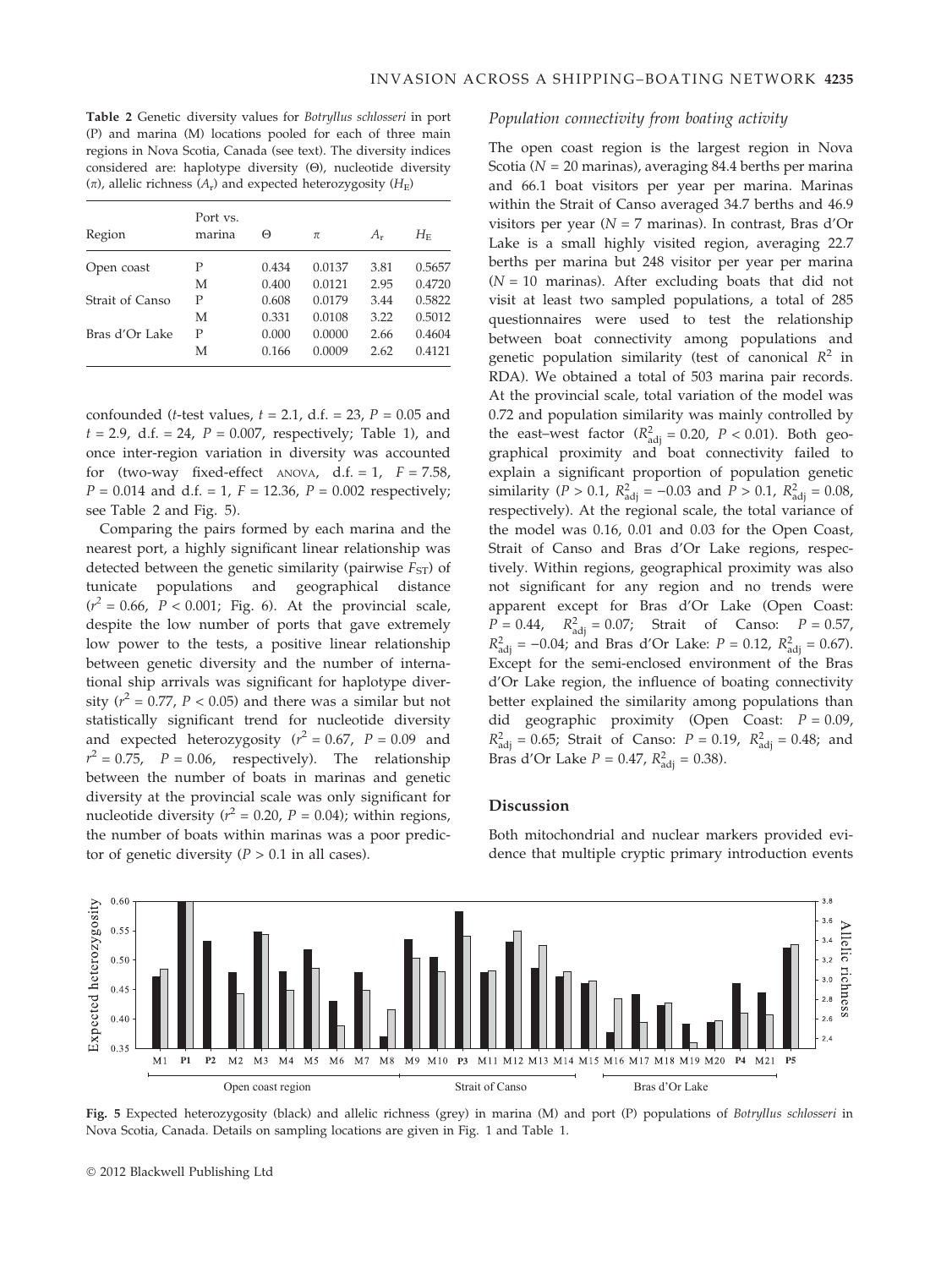Table 2 Genetic diversity values for Botryllus schlosseri in port (P) and marina (M) locations pooled for each of three main regions in Nova Scotia, Canada (see text). The diversity indices considered are: haplotype diversity  $(\Theta)$ , nucleotide diversity  $(\pi)$ , allelic richness  $(A_r)$  and expected heterozygosity  $(H_F)$ 

| Region          | Port vs.<br>marina | Θ     | π      | $A_{r}$ | $H_{\rm E}$ |
|-----------------|--------------------|-------|--------|---------|-------------|
| Open coast      | Р                  | 0.434 | 0.0137 | 3.81    | 0.5657      |
|                 | M                  | 0.400 | 0.0121 | 2.95    | 0.4720      |
| Strait of Canso | P                  | 0.608 | 0.0179 | 3.44    | 0.5822      |
|                 | M                  | 0.331 | 0.0108 | 3.22    | 0.5012      |
| Bras d'Or Lake  | Р                  | 0.000 | 0.0000 | 2.66    | 0.4604      |
|                 | М                  | 0.166 | 0.0009 | 2.62    | 0.4121      |

confounded (*t*-test values,  $t = 2.1$ , d.f. = 23,  $P = 0.05$  and  $t = 2.9$ , d.f. = 24,  $P = 0.007$ , respectively; Table 1), and once inter-region variation in diversity was accounted for (two-way fixed-effect ANOVA, d.f. = 1,  $F = 7.58$ ,  $P = 0.014$  and d.f. = 1,  $F = 12.36$ ,  $P = 0.002$  respectively; see Table 2 and Fig. 5).

Comparing the pairs formed by each marina and the nearest port, a highly significant linear relationship was detected between the genetic similarity (pairwise  $F_{ST}$ ) of tunicate populations and geographical distance  $(r^2 = 0.66, P < 0.001;$  Fig. 6). At the provincial scale, despite the low number of ports that gave extremely low power to the tests, a positive linear relationship between genetic diversity and the number of international ship arrivals was significant for haplotype diversity ( $r^2 = 0.77$ ,  $P < 0.05$ ) and there was a similar but not statistically significant trend for nucleotide diversity and expected heterozygosity ( $r^2 = 0.67$ ,  $P = 0.09$  and  $r^2 = 0.75$ ,  $P = 0.06$ , respectively). The relationship between the number of boats in marinas and genetic diversity at the provincial scale was only significant for nucleotide diversity ( $r^2 = 0.20$ ,  $P = 0.04$ ); within regions, the number of boats within marinas was a poor predictor of genetic diversity  $(P > 0.1$  in all cases).

## Population connectivity from boating activity

The open coast region is the largest region in Nova Scotia ( $N = 20$  marinas), averaging 84.4 berths per marina and 66.1 boat visitors per year per marina. Marinas within the Strait of Canso averaged 34.7 berths and 46.9 visitors per year ( $N = 7$  marinas). In contrast, Bras d'Or Lake is a small highly visited region, averaging 22.7 berths per marina but 248 visitor per year per marina  $(N = 10$  marinas). After excluding boats that did not visit at least two sampled populations, a total of 285 questionnaires were used to test the relationship between boat connectivity among populations and genetic population similarity (test of canonical  $R^2$  in RDA). We obtained a total of 503 marina pair records. At the provincial scale, total variation of the model was 0.72 and population similarity was mainly controlled by the east–west factor ( $R_{\text{adj}}^2 = 0.20$ ,  $P < 0.01$ ). Both geographical proximity and boat connectivity failed to explain a significant proportion of population genetic similarity (*P* > 0.1,  $R_{\text{adj}}^2 = -0.03$  and *P* > 0.1,  $R_{\text{adj}}^2 = 0.08$ , respectively). At the regional scale, the total variance of the model was 0.16, 0.01 and 0.03 for the Open Coast, Strait of Canso and Bras d'Or Lake regions, respectively. Within regions, geographical proximity was also not significant for any region and no trends were apparent except for Bras d'Or Lake (Open Coast:  $P = 0.44$ ,  $R_{\text{adj}}^2 = 0.07$ ; Strait of Canso:  $P = 0.57$ ,  $R_{\text{adj}}^2 = -0.04$ ; and Bras d'Or Lake:  $P = 0.12$ ,  $R_{\text{adj}}^2 = 0.67$ ). Except for the semi-enclosed environment of the Bras d'Or Lake region, the influence of boating connectivity better explained the similarity among populations than did geographic proximity (Open Coast:  $P = 0.09$ ,  $R_{\text{adj}}^2 = 0.65$ ; Strait of Canso:  $P = 0.19$ ,  $R_{\text{adj}}^2 = 0.48$ ; and Bras d'Or Lake  $P = 0.47$ ,  $R_{\text{adj}}^2 = 0.38$ ).

#### Discussion

Both mitochondrial and nuclear markers provided evidence that multiple cryptic primary introduction events



Fig. 5 Expected heterozygosity (black) and allelic richness (grey) in marina (M) and port (P) populations of Botryllus schlosseri in Nova Scotia, Canada. Details on sampling locations are given in Fig. 1 and Table 1.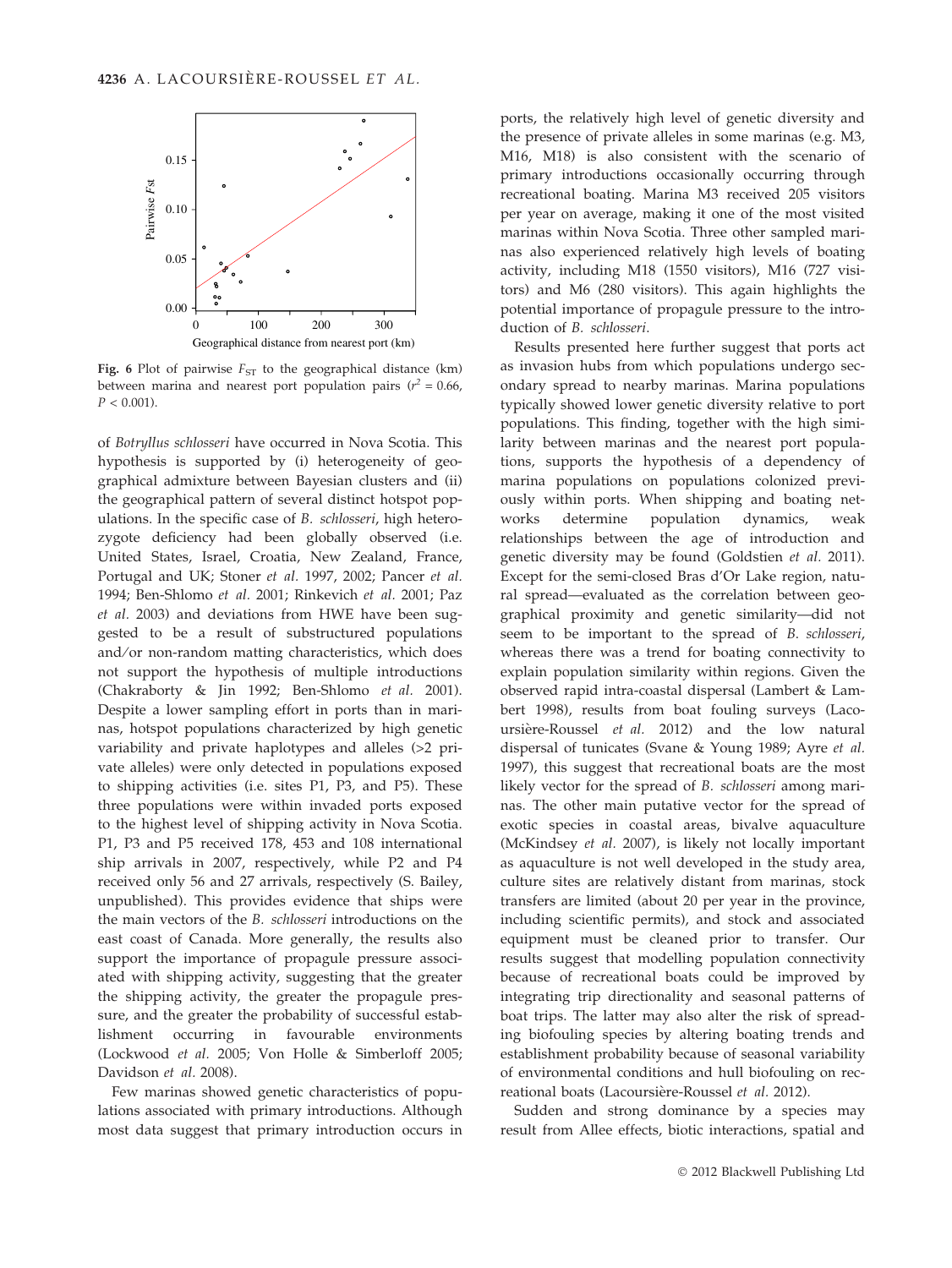

Fig. 6 Plot of pairwise  $F_{ST}$  to the geographical distance (km) between marina and nearest port population pairs ( $r^2 = 0.66$ ,  $P < 0.001$ 

of Botryllus schlosseri have occurred in Nova Scotia. This hypothesis is supported by (i) heterogeneity of geographical admixture between Bayesian clusters and (ii) the geographical pattern of several distinct hotspot populations. In the specific case of B. schlosseri, high heterozygote deficiency had been globally observed (i.e. United States, Israel, Croatia, New Zealand, France, Portugal and UK; Stoner et al. 1997, 2002; Pancer et al. 1994; Ben-Shlomo et al. 2001; Rinkevich et al. 2001; Paz et al. 2003) and deviations from HWE have been suggested to be a result of substructured populations and/or non-random matting characteristics, which does not support the hypothesis of multiple introductions (Chakraborty & Jin 1992; Ben-Shlomo et al. 2001). Despite a lower sampling effort in ports than in marinas, hotspot populations characterized by high genetic variability and private haplotypes and alleles (>2 private alleles) were only detected in populations exposed to shipping activities (i.e. sites P1, P3, and P5). These three populations were within invaded ports exposed to the highest level of shipping activity in Nova Scotia. P1, P3 and P5 received 178, 453 and 108 international ship arrivals in 2007, respectively, while P2 and P4 received only 56 and 27 arrivals, respectively (S. Bailey, unpublished). This provides evidence that ships were the main vectors of the B. schlosseri introductions on the east coast of Canada. More generally, the results also support the importance of propagule pressure associated with shipping activity, suggesting that the greater the shipping activity, the greater the propagule pressure, and the greater the probability of successful establishment occurring in favourable environments (Lockwood et al. 2005; Von Holle & Simberloff 2005; Davidson et al. 2008).

Few marinas showed genetic characteristics of populations associated with primary introductions. Although most data suggest that primary introduction occurs in ports, the relatively high level of genetic diversity and the presence of private alleles in some marinas (e.g. M3, M16, M18) is also consistent with the scenario of primary introductions occasionally occurring through recreational boating. Marina M3 received 205 visitors per year on average, making it one of the most visited marinas within Nova Scotia. Three other sampled marinas also experienced relatively high levels of boating activity, including M18 (1550 visitors), M16 (727 visitors) and M6 (280 visitors). This again highlights the potential importance of propagule pressure to the introduction of B. schlosseri.

Results presented here further suggest that ports act as invasion hubs from which populations undergo secondary spread to nearby marinas. Marina populations typically showed lower genetic diversity relative to port populations. This finding, together with the high similarity between marinas and the nearest port populations, supports the hypothesis of a dependency of marina populations on populations colonized previously within ports. When shipping and boating networks determine population dynamics, weak relationships between the age of introduction and genetic diversity may be found (Goldstien et al. 2011). Except for the semi-closed Bras d'Or Lake region, natural spread—evaluated as the correlation between geographical proximity and genetic similarity—did not seem to be important to the spread of B. schlosseri, whereas there was a trend for boating connectivity to explain population similarity within regions. Given the observed rapid intra-coastal dispersal (Lambert & Lambert 1998), results from boat fouling surveys (Lacoursière-Roussel et al. 2012) and the low natural dispersal of tunicates (Svane & Young 1989; Ayre et al. 1997), this suggest that recreational boats are the most likely vector for the spread of B. schlosseri among marinas. The other main putative vector for the spread of exotic species in coastal areas, bivalve aquaculture (McKindsey et al. 2007), is likely not locally important as aquaculture is not well developed in the study area, culture sites are relatively distant from marinas, stock transfers are limited (about 20 per year in the province, including scientific permits), and stock and associated equipment must be cleaned prior to transfer. Our results suggest that modelling population connectivity because of recreational boats could be improved by integrating trip directionality and seasonal patterns of boat trips. The latter may also alter the risk of spreading biofouling species by altering boating trends and establishment probability because of seasonal variability of environmental conditions and hull biofouling on recreational boats (Lacoursière-Roussel et al. 2012).

Sudden and strong dominance by a species may result from Allee effects, biotic interactions, spatial and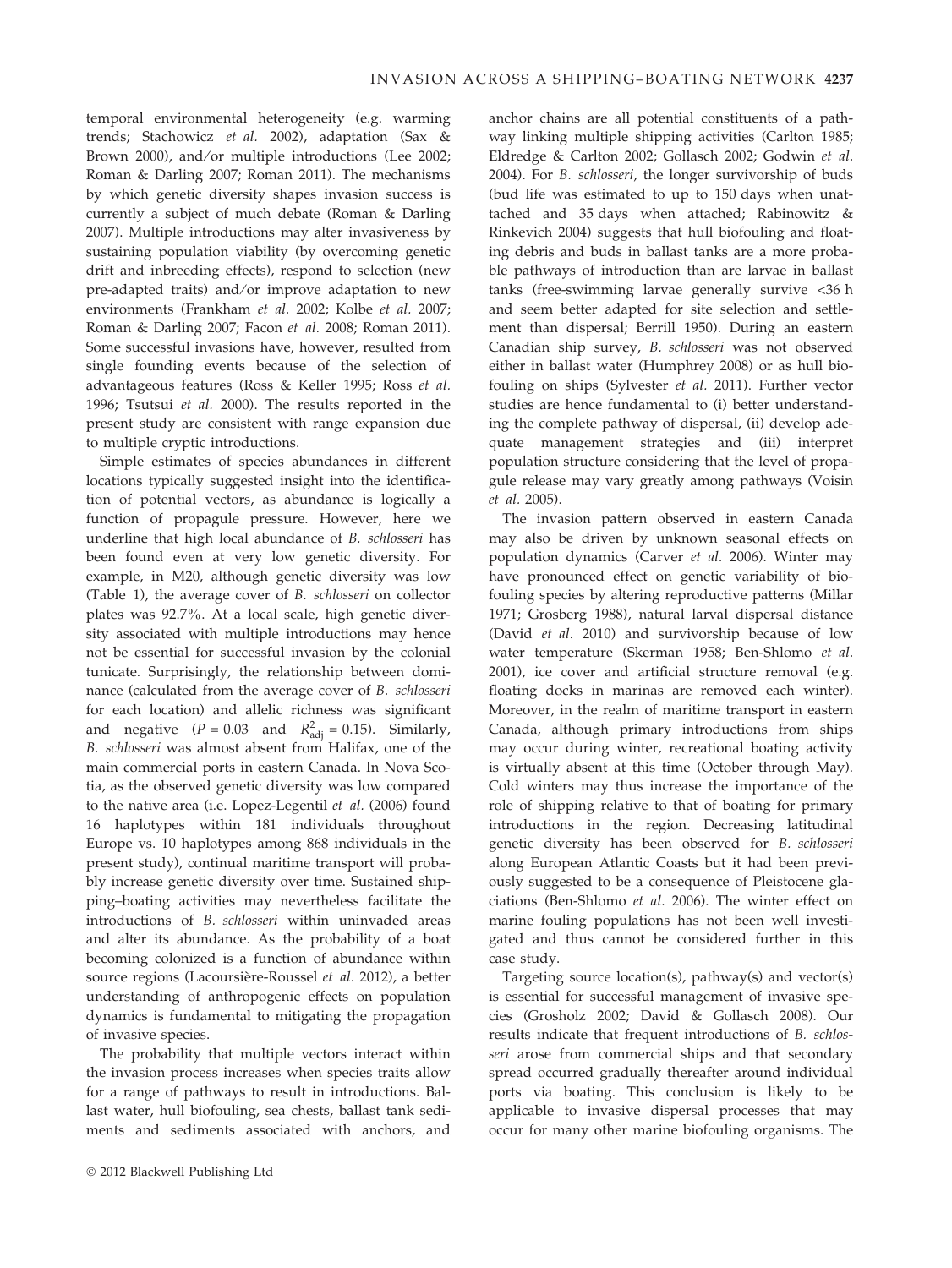temporal environmental heterogeneity (e.g. warming trends; Stachowicz et al. 2002), adaptation (Sax & Brown 2000), and/or multiple introductions (Lee 2002: Roman & Darling 2007; Roman 2011). The mechanisms by which genetic diversity shapes invasion success is currently a subject of much debate (Roman & Darling 2007). Multiple introductions may alter invasiveness by sustaining population viability (by overcoming genetic drift and inbreeding effects), respond to selection (new pre-adapted traits) and/or improve adaptation to new environments (Frankham et al. 2002; Kolbe et al. 2007; Roman & Darling 2007; Facon et al. 2008; Roman 2011). Some successful invasions have, however, resulted from single founding events because of the selection of advantageous features (Ross & Keller 1995; Ross et al. 1996; Tsutsui et al. 2000). The results reported in the present study are consistent with range expansion due to multiple cryptic introductions.

Simple estimates of species abundances in different locations typically suggested insight into the identification of potential vectors, as abundance is logically a function of propagule pressure. However, here we underline that high local abundance of B. schlosseri has been found even at very low genetic diversity. For example, in M20, although genetic diversity was low (Table 1), the average cover of B. schlosseri on collector plates was 92.7%. At a local scale, high genetic diversity associated with multiple introductions may hence not be essential for successful invasion by the colonial tunicate. Surprisingly, the relationship between dominance (calculated from the average cover of B. schlosseri for each location) and allelic richness was significant and negative  $(P = 0.03$  and  $R<sup>2</sup><sub>adj</sub> = 0.15)$ . Similarly, B. schlosseri was almost absent from Halifax, one of the main commercial ports in eastern Canada. In Nova Scotia, as the observed genetic diversity was low compared to the native area (i.e. Lopez-Legentil et al. (2006) found 16 haplotypes within 181 individuals throughout Europe vs. 10 haplotypes among 868 individuals in the present study), continual maritime transport will probably increase genetic diversity over time. Sustained shipping–boating activities may nevertheless facilitate the introductions of B. schlosseri within uninvaded areas and alter its abundance. As the probability of a boat becoming colonized is a function of abundance within source regions (Lacoursière-Roussel et al. 2012), a better understanding of anthropogenic effects on population dynamics is fundamental to mitigating the propagation of invasive species.

The probability that multiple vectors interact within the invasion process increases when species traits allow for a range of pathways to result in introductions. Ballast water, hull biofouling, sea chests, ballast tank sediments and sediments associated with anchors, and

anchor chains are all potential constituents of a pathway linking multiple shipping activities (Carlton 1985; Eldredge & Carlton 2002; Gollasch 2002; Godwin et al. 2004). For B. schlosseri, the longer survivorship of buds (bud life was estimated to up to 150 days when unattached and 35 days when attached; Rabinowitz & Rinkevich 2004) suggests that hull biofouling and floating debris and buds in ballast tanks are a more probable pathways of introduction than are larvae in ballast tanks (free-swimming larvae generally survive <36 h and seem better adapted for site selection and settlement than dispersal; Berrill 1950). During an eastern Canadian ship survey, B. schlosseri was not observed either in ballast water (Humphrey 2008) or as hull biofouling on ships (Sylvester et al. 2011). Further vector studies are hence fundamental to (i) better understanding the complete pathway of dispersal, (ii) develop adequate management strategies and (iii) interpret population structure considering that the level of propagule release may vary greatly among pathways (Voisin et al. 2005).

The invasion pattern observed in eastern Canada may also be driven by unknown seasonal effects on population dynamics (Carver et al. 2006). Winter may have pronounced effect on genetic variability of biofouling species by altering reproductive patterns (Millar 1971; Grosberg 1988), natural larval dispersal distance (David et al. 2010) and survivorship because of low water temperature (Skerman 1958; Ben-Shlomo et al. 2001), ice cover and artificial structure removal (e.g. floating docks in marinas are removed each winter). Moreover, in the realm of maritime transport in eastern Canada, although primary introductions from ships may occur during winter, recreational boating activity is virtually absent at this time (October through May). Cold winters may thus increase the importance of the role of shipping relative to that of boating for primary introductions in the region. Decreasing latitudinal genetic diversity has been observed for B. schlosseri along European Atlantic Coasts but it had been previously suggested to be a consequence of Pleistocene glaciations (Ben-Shlomo et al. 2006). The winter effect on marine fouling populations has not been well investigated and thus cannot be considered further in this case study.

Targeting source location(s), pathway(s) and vector(s) is essential for successful management of invasive species (Grosholz 2002; David & Gollasch 2008). Our results indicate that frequent introductions of B. schlosseri arose from commercial ships and that secondary spread occurred gradually thereafter around individual ports via boating. This conclusion is likely to be applicable to invasive dispersal processes that may occur for many other marine biofouling organisms. The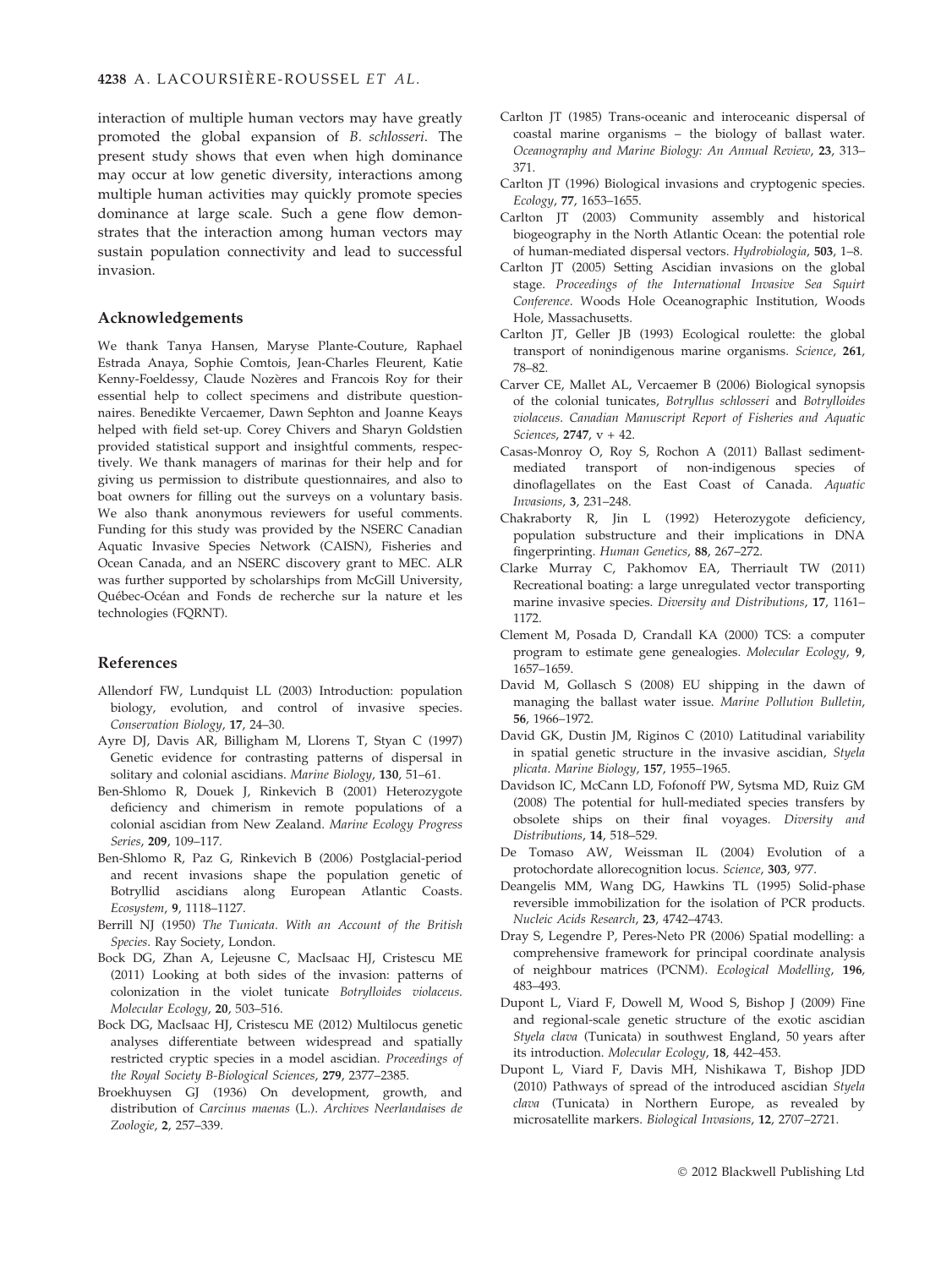interaction of multiple human vectors may have greatly promoted the global expansion of B. schlosseri. The present study shows that even when high dominance may occur at low genetic diversity, interactions among multiple human activities may quickly promote species dominance at large scale. Such a gene flow demonstrates that the interaction among human vectors may sustain population connectivity and lead to successful invasion.

#### Acknowledgements

We thank Tanya Hansen, Maryse Plante-Couture, Raphael Estrada Anaya, Sophie Comtois, Jean-Charles Fleurent, Katie Kenny-Foeldessy, Claude Nozères and Francois Roy for their essential help to collect specimens and distribute questionnaires. Benedikte Vercaemer, Dawn Sephton and Joanne Keays helped with field set-up. Corey Chivers and Sharyn Goldstien provided statistical support and insightful comments, respectively. We thank managers of marinas for their help and for giving us permission to distribute questionnaires, and also to boat owners for filling out the surveys on a voluntary basis. We also thank anonymous reviewers for useful comments. Funding for this study was provided by the NSERC Canadian Aquatic Invasive Species Network (CAISN), Fisheries and Ocean Canada, and an NSERC discovery grant to MEC. ALR was further supported by scholarships from McGill University, Québec-Océan and Fonds de recherche sur la nature et les technologies (FQRNT).

### References

- Allendorf FW, Lundquist LL (2003) Introduction: population biology, evolution, and control of invasive species. Conservation Biology, 17, 24–30.
- Ayre DJ, Davis AR, Billigham M, Llorens T, Styan C (1997) Genetic evidence for contrasting patterns of dispersal in solitary and colonial ascidians. Marine Biology, 130, 51–61.
- Ben-Shlomo R, Douek J, Rinkevich B (2001) Heterozygote deficiency and chimerism in remote populations of a colonial ascidian from New Zealand. Marine Ecology Progress Series, 209, 109–117.
- Ben-Shlomo R, Paz G, Rinkevich B (2006) Postglacial-period and recent invasions shape the population genetic of Botryllid ascidians along European Atlantic Coasts. Ecosystem, 9, 1118–1127.
- Berrill NJ (1950) The Tunicata. With an Account of the British Species. Ray Society, London.
- Bock DG, Zhan A, Lejeusne C, MacIsaac HJ, Cristescu ME (2011) Looking at both sides of the invasion: patterns of colonization in the violet tunicate Botrylloides violaceus. Molecular Ecology, 20, 503–516.
- Bock DG, MacIsaac HJ, Cristescu ME (2012) Multilocus genetic analyses differentiate between widespread and spatially restricted cryptic species in a model ascidian. Proceedings of the Royal Society B-Biological Sciences, 279, 2377–2385.
- Broekhuysen GJ (1936) On development, growth, and distribution of Carcinus maenas (L.). Archives Neerlandaises de Zoologie, 2, 257–339.
- Carlton JT (1985) Trans-oceanic and interoceanic dispersal of coastal marine organisms – the biology of ballast water. Oceanography and Marine Biology: An Annual Review, 23, 313– 371.
- Carlton JT (1996) Biological invasions and cryptogenic species. Ecology, 77, 1653–1655.
- Carlton JT (2003) Community assembly and historical biogeography in the North Atlantic Ocean: the potential role of human-mediated dispersal vectors. Hydrobiologia, 503, 1–8.
- Carlton JT (2005) Setting Ascidian invasions on the global stage. Proceedings of the International Invasive Sea Squirt Conference. Woods Hole Oceanographic Institution, Woods Hole, Massachusetts.
- Carlton JT, Geller JB (1993) Ecological roulette: the global transport of nonindigenous marine organisms. Science, 261, 78–82.
- Carver CE, Mallet AL, Vercaemer B (2006) Biological synopsis of the colonial tunicates, Botryllus schlosseri and Botrylloides violaceus. Canadian Manuscript Report of Fisheries and Aquatic Sciences, 2747, v + 42.
- Casas-Monroy O, Roy S, Rochon A (2011) Ballast sedimentmediated transport of non-indigenous species of dinoflagellates on the East Coast of Canada. Aquatic Invasions, 3, 231–248.
- Chakraborty R, Jin L (1992) Heterozygote deficiency, population substructure and their implications in DNA fingerprinting. Human Genetics, 88, 267–272.
- Clarke Murray C, Pakhomov EA, Therriault TW (2011) Recreational boating: a large unregulated vector transporting marine invasive species. Diversity and Distributions, 17, 1161– 1172.
- Clement M, Posada D, Crandall KA (2000) TCS: a computer program to estimate gene genealogies. Molecular Ecology, 9, 1657–1659.
- David M, Gollasch S (2008) EU shipping in the dawn of managing the ballast water issue. Marine Pollution Bulletin, 56, 1966–1972.
- David GK, Dustin JM, Riginos C (2010) Latitudinal variability in spatial genetic structure in the invasive ascidian, Styela plicata. Marine Biology, 157, 1955–1965.
- Davidson IC, McCann LD, Fofonoff PW, Sytsma MD, Ruiz GM (2008) The potential for hull-mediated species transfers by obsolete ships on their final voyages. Diversity and Distributions, 14, 518–529.
- De Tomaso AW, Weissman IL (2004) Evolution of a protochordate allorecognition locus. Science, 303, 977.
- Deangelis MM, Wang DG, Hawkins TL (1995) Solid-phase reversible immobilization for the isolation of PCR products. Nucleic Acids Research, 23, 4742–4743.
- Dray S, Legendre P, Peres-Neto PR (2006) Spatial modelling: a comprehensive framework for principal coordinate analysis of neighbour matrices (PCNM). Ecological Modelling, 196, 483–493.
- Dupont L, Viard F, Dowell M, Wood S, Bishop J (2009) Fine and regional-scale genetic structure of the exotic ascidian Styela clava (Tunicata) in southwest England, 50 years after its introduction. Molecular Ecology, 18, 442–453.
- Dupont L, Viard F, Davis MH, Nishikawa T, Bishop JDD (2010) Pathways of spread of the introduced ascidian Styela clava (Tunicata) in Northern Europe, as revealed by microsatellite markers. Biological Invasions, 12, 2707–2721.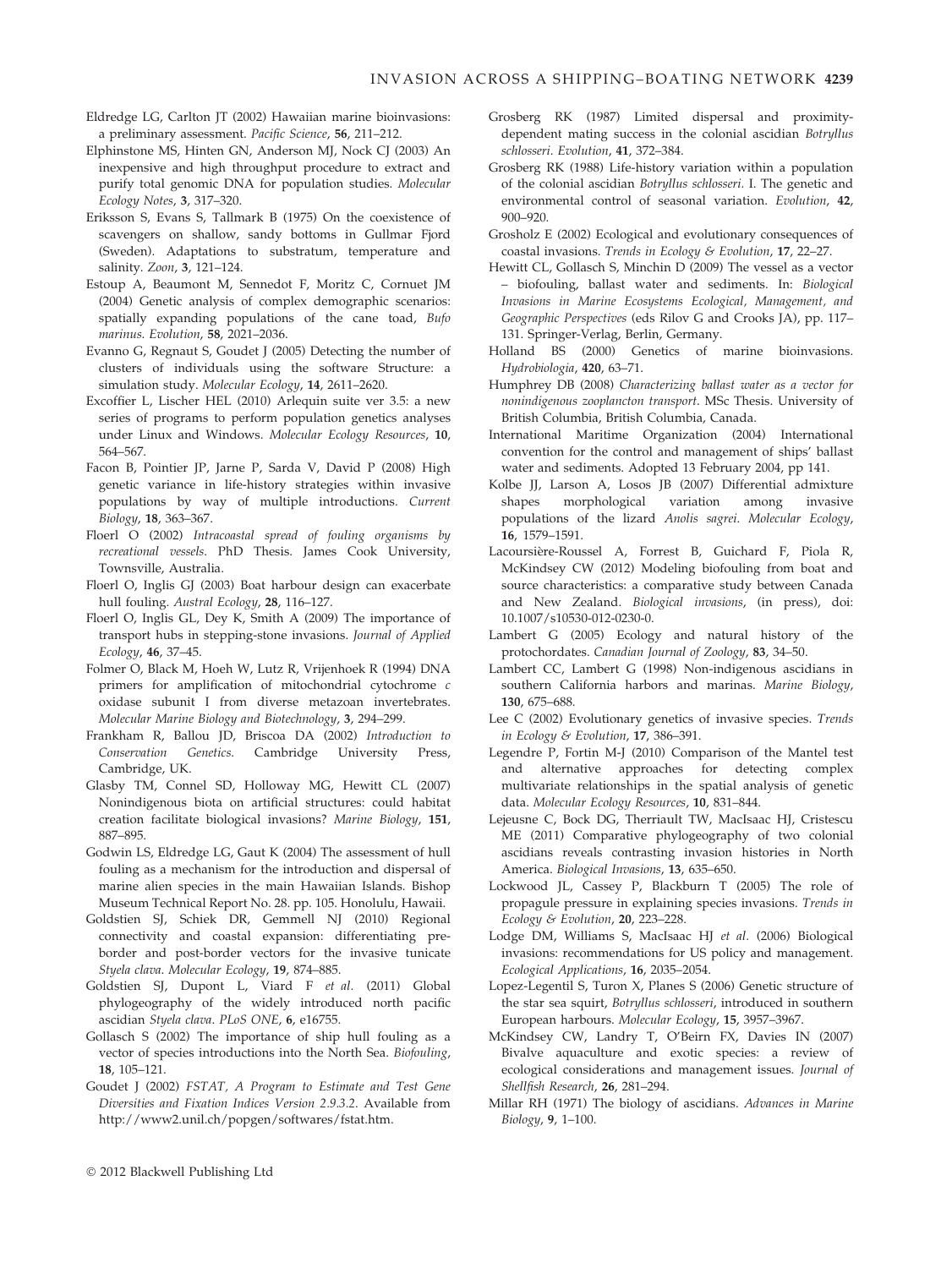- Eldredge LG, Carlton JT (2002) Hawaiian marine bioinvasions: a preliminary assessment. Pacific Science, 56, 211–212.
- Elphinstone MS, Hinten GN, Anderson MJ, Nock CJ (2003) An inexpensive and high throughput procedure to extract and purify total genomic DNA for population studies. Molecular Ecology Notes, 3, 317–320.
- Eriksson S, Evans S, Tallmark B (1975) On the coexistence of scavengers on shallow, sandy bottoms in Gullmar Fjord (Sweden). Adaptations to substratum, temperature and salinity. Zoon, 3, 121–124.
- Estoup A, Beaumont M, Sennedot F, Moritz C, Cornuet JM (2004) Genetic analysis of complex demographic scenarios: spatially expanding populations of the cane toad, Bufo marinus. Evolution, 58, 2021–2036.
- Evanno G, Regnaut S, Goudet J (2005) Detecting the number of clusters of individuals using the software Structure: a simulation study. Molecular Ecology, 14, 2611–2620.
- Excoffier L, Lischer HEL (2010) Arlequin suite ver 3.5: a new series of programs to perform population genetics analyses under Linux and Windows. Molecular Ecology Resources, 10, 564–567.
- Facon B, Pointier JP, Jarne P, Sarda V, David P (2008) High genetic variance in life-history strategies within invasive populations by way of multiple introductions. Current Biology, 18, 363–367.
- Floerl O (2002) Intracoastal spread of fouling organisms by recreational vessels. PhD Thesis. James Cook University, Townsville, Australia.
- Floerl O, Inglis GJ (2003) Boat harbour design can exacerbate hull fouling. Austral Ecology, 28, 116–127.
- Floerl O, Inglis GL, Dey K, Smith A (2009) The importance of transport hubs in stepping-stone invasions. Journal of Applied Ecology, 46, 37–45.
- Folmer O, Black M, Hoeh W, Lutz R, Vrijenhoek R (1994) DNA primers for amplification of mitochondrial cytochrome c oxidase subunit I from diverse metazoan invertebrates. Molecular Marine Biology and Biotechnology, 3, 294–299.
- Frankham R, Ballou JD, Briscoa DA (2002) Introduction to Conservation Genetics. Cambridge University Press, Cambridge, UK.
- Glasby TM, Connel SD, Holloway MG, Hewitt CL (2007) Nonindigenous biota on artificial structures: could habitat creation facilitate biological invasions? Marine Biology, 151, 887–895.
- Godwin LS, Eldredge LG, Gaut K (2004) The assessment of hull fouling as a mechanism for the introduction and dispersal of marine alien species in the main Hawaiian Islands. Bishop Museum Technical Report No. 28. pp. 105. Honolulu, Hawaii.
- Goldstien SJ, Schiek DR, Gemmell NJ (2010) Regional connectivity and coastal expansion: differentiating preborder and post-border vectors for the invasive tunicate Styela clava. Molecular Ecology, 19, 874–885.
- Goldstien SJ, Dupont L, Viard F et al. (2011) Global phylogeography of the widely introduced north pacific ascidian Styela clava. PLoS ONE, 6, e16755.
- Gollasch S (2002) The importance of ship hull fouling as a vector of species introductions into the North Sea. Biofouling, 18, 105–121.
- Goudet J (2002) FSTAT, A Program to Estimate and Test Gene Diversities and Fixation Indices Version 2.9.3.2. Available from http://www2.unil.ch/popgen/softwares/fstat.htm.
- Grosberg RK (1987) Limited dispersal and proximitydependent mating success in the colonial ascidian Botryllus schlosseri. Evolution, 41, 372–384.
- Grosberg RK (1988) Life-history variation within a population of the colonial ascidian Botryllus schlosseri. I. The genetic and environmental control of seasonal variation. Evolution, 42, 900–920.
- Grosholz E (2002) Ecological and evolutionary consequences of coastal invasions. Trends in Ecology & Evolution, 17, 22–27.
- Hewitt CL, Gollasch S, Minchin D (2009) The vessel as a vector – biofouling, ballast water and sediments. In: Biological Invasions in Marine Ecosystems Ecological, Management, and Geographic Perspectives (eds Rilov G and Crooks JA), pp. 117– 131. Springer-Verlag, Berlin, Germany.
- Holland BS (2000) Genetics of marine bioinvasions. Hydrobiologia, 420, 63–71.
- Humphrey DB (2008) Characterizing ballast water as a vector for nonindigenous zooplancton transport. MSc Thesis. University of British Columbia, British Columbia, Canada.
- International Maritime Organization (2004) International convention for the control and management of ships' ballast water and sediments. Adopted 13 February 2004, pp 141.
- Kolbe JJ, Larson A, Losos JB (2007) Differential admixture shapes morphological variation among invasive populations of the lizard Anolis sagrei. Molecular Ecology, 16, 1579–1591.
- Lacoursière-Roussel A, Forrest B, Guichard F, Piola R, McKindsey CW (2012) Modeling biofouling from boat and source characteristics: a comparative study between Canada and New Zealand. Biological invasions, (in press), doi: 10.1007/s10530-012-0230-0.
- Lambert G (2005) Ecology and natural history of the protochordates. Canadian Journal of Zoology, 83, 34–50.
- Lambert CC, Lambert G (1998) Non-indigenous ascidians in southern California harbors and marinas. Marine Biology, 130, 675–688.
- Lee C (2002) Evolutionary genetics of invasive species. Trends in Ecology & Evolution, 17, 386–391.
- Legendre P, Fortin M-J (2010) Comparison of the Mantel test and alternative approaches for detecting complex multivariate relationships in the spatial analysis of genetic data. Molecular Ecology Resources, 10, 831–844.
- Lejeusne C, Bock DG, Therriault TW, MacIsaac HJ, Cristescu ME (2011) Comparative phylogeography of two colonial ascidians reveals contrasting invasion histories in North America. Biological Invasions, 13, 635-650.
- Lockwood JL, Cassey P, Blackburn T (2005) The role of propagule pressure in explaining species invasions. Trends in Ecology & Evolution, 20, 223–228.
- Lodge DM, Williams S, MacIsaac HJ et al. (2006) Biological invasions: recommendations for US policy and management. Ecological Applications, 16, 2035–2054.
- Lopez-Legentil S, Turon X, Planes S (2006) Genetic structure of the star sea squirt, Botryllus schlosseri, introduced in southern European harbours. Molecular Ecology, 15, 3957–3967.
- McKindsey CW, Landry T, O'Beirn FX, Davies IN (2007) Bivalve aquaculture and exotic species: a review of ecological considerations and management issues. Journal of Shellfish Research, 26, 281–294.
- Millar RH (1971) The biology of ascidians. Advances in Marine Biology, 9, 1–100.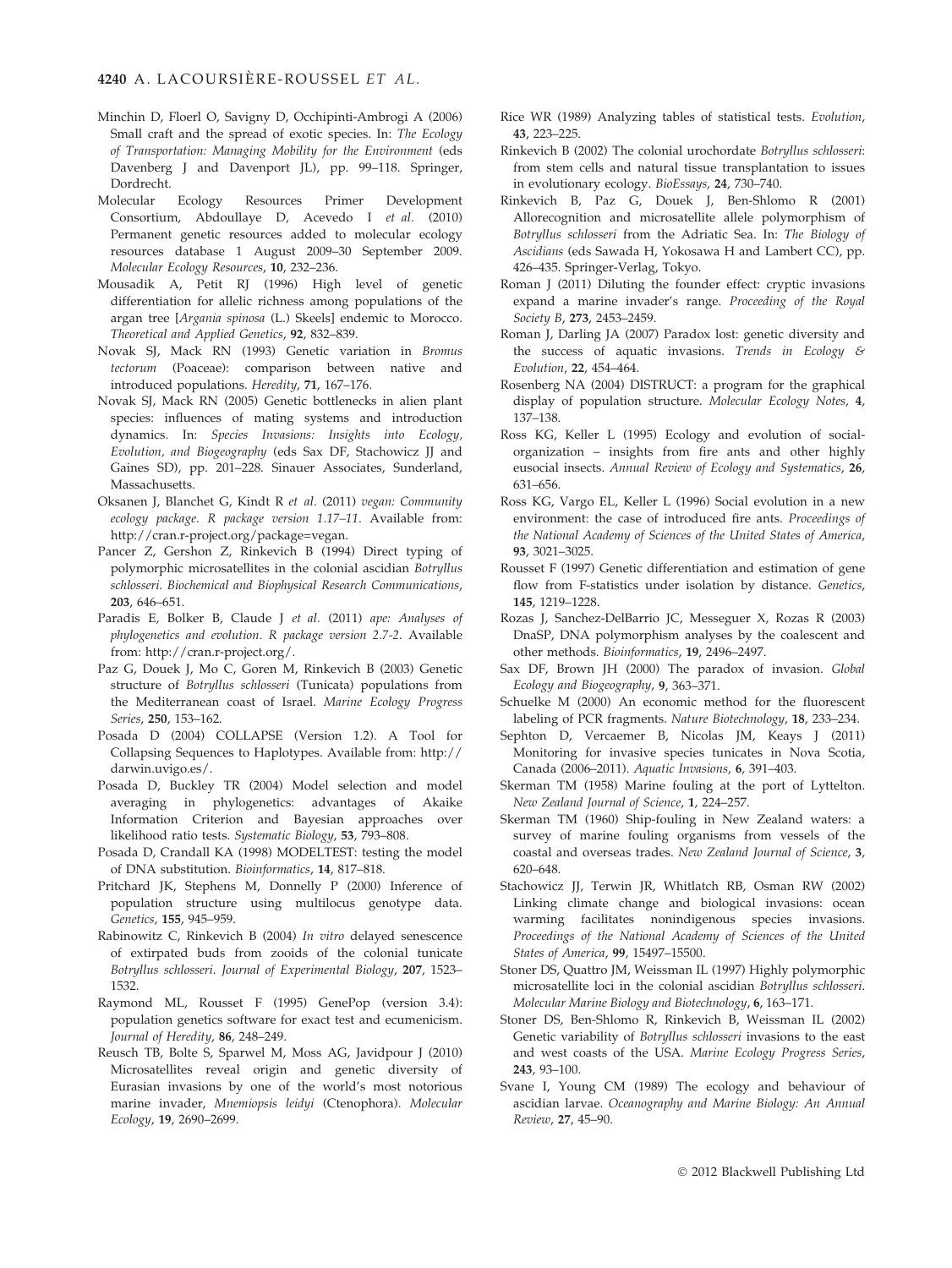- Minchin D, Floerl O, Savigny D, Occhipinti-Ambrogi A (2006) Small craft and the spread of exotic species. In: The Ecology of Transportation: Managing Mobility for the Environment (eds Davenberg J and Davenport JL), pp. 99–118. Springer, Dordrecht.
- Molecular Ecology Resources Primer Development Consortium, Abdoullaye D, Acevedo I et al. (2010) Permanent genetic resources added to molecular ecology resources database 1 August 2009–30 September 2009. Molecular Ecology Resources, 10, 232–236.
- Mousadik A, Petit RJ (1996) High level of genetic differentiation for allelic richness among populations of the argan tree [Argania spinosa (L.) Skeels] endemic to Morocco. Theoretical and Applied Genetics, 92, 832–839.
- Novak SJ, Mack RN (1993) Genetic variation in Bromus tectorum (Poaceae): comparison between native and introduced populations. Heredity, 71, 167–176.
- Novak SJ, Mack RN (2005) Genetic bottlenecks in alien plant species: influences of mating systems and introduction dynamics. In: Species Invasions: Insights into Ecology, Evolution, and Biogeography (eds Sax DF, Stachowicz JJ and Gaines SD), pp. 201–228. Sinauer Associates, Sunderland, Massachusetts.
- Oksanen J, Blanchet G, Kindt R et al. (2011) vegan: Community ecology package. R package version 1.17–11. Available from: http://cran.r-project.org/package=vegan.
- Pancer Z, Gershon Z, Rinkevich B (1994) Direct typing of polymorphic microsatellites in the colonial ascidian Botryllus schlosseri. Biochemical and Biophysical Research Communications, 203, 646–651.
- Paradis E, Bolker B, Claude J et al. (2011) ape: Analyses of phylogenetics and evolution. R package version 2.7-2. Available from: http://cran.r-project.org/.
- Paz G, Douek J, Mo C, Goren M, Rinkevich B (2003) Genetic structure of Botryllus schlosseri (Tunicata) populations from the Mediterranean coast of Israel. Marine Ecology Progress Series, 250, 153–162.
- Posada D (2004) COLLAPSE (Version 1.2). A Tool for Collapsing Sequences to Haplotypes. Available from: http:// darwin.uvigo.es/.
- Posada D, Buckley TR (2004) Model selection and model averaging in phylogenetics: advantages of Akaike Information Criterion and Bayesian approaches over likelihood ratio tests. Systematic Biology, 53, 793–808.
- Posada D, Crandall KA (1998) MODELTEST: testing the model of DNA substitution. Bioinformatics, 14, 817–818.
- Pritchard JK, Stephens M, Donnelly P (2000) Inference of population structure using multilocus genotype data. Genetics, 155, 945–959.
- Rabinowitz C, Rinkevich B (2004) In vitro delayed senescence of extirpated buds from zooids of the colonial tunicate Botryllus schlosseri. Journal of Experimental Biology, 207, 1523– 1532.
- Raymond ML, Rousset F (1995) GenePop (version 3.4): population genetics software for exact test and ecumenicism. Journal of Heredity, 86, 248–249.
- Reusch TB, Bolte S, Sparwel M, Moss AG, Javidpour J (2010) Microsatellites reveal origin and genetic diversity of Eurasian invasions by one of the world's most notorious marine invader, Mnemiopsis leidyi (Ctenophora). Molecular Ecology, 19, 2690–2699.
- Rice WR (1989) Analyzing tables of statistical tests. Evolution, 43, 223–225.
- Rinkevich B (2002) The colonial urochordate Botryllus schlosseri: from stem cells and natural tissue transplantation to issues in evolutionary ecology. BioEssays, 24, 730–740.
- Rinkevich B, Paz G, Douek J, Ben-Shlomo R (2001) Allorecognition and microsatellite allele polymorphism of Botryllus schlosseri from the Adriatic Sea. In: The Biology of Ascidians (eds Sawada H, Yokosawa H and Lambert CC), pp. 426–435. Springer-Verlag, Tokyo.
- Roman J (2011) Diluting the founder effect: cryptic invasions expand a marine invader's range. Proceeding of the Royal Society B, 273, 2453–2459.
- Roman J, Darling JA (2007) Paradox lost: genetic diversity and the success of aquatic invasions. Trends in Ecology & Evolution, 22, 454–464.
- Rosenberg NA (2004) DISTRUCT: a program for the graphical display of population structure. Molecular Ecology Notes, 4, 137–138.
- Ross KG, Keller L (1995) Ecology and evolution of socialorganization – insights from fire ants and other highly eusocial insects. Annual Review of Ecology and Systematics, 26, 631–656.
- Ross KG, Vargo EL, Keller L (1996) Social evolution in a new environment: the case of introduced fire ants. Proceedings of the National Academy of Sciences of the United States of America, 93, 3021–3025.
- Rousset F (1997) Genetic differentiation and estimation of gene flow from F-statistics under isolation by distance. Genetics, 145, 1219–1228.
- Rozas J, Sanchez-DelBarrio JC, Messeguer X, Rozas R (2003) DnaSP, DNA polymorphism analyses by the coalescent and other methods. Bioinformatics, 19, 2496–2497.
- Sax DF, Brown JH (2000) The paradox of invasion. Global Ecology and Biogeography, 9, 363–371.
- Schuelke M (2000) An economic method for the fluorescent labeling of PCR fragments. Nature Biotechnology, 18, 233–234.
- Sephton D, Vercaemer B, Nicolas JM, Keays J (2011) Monitoring for invasive species tunicates in Nova Scotia, Canada (2006–2011). Aquatic Invasions, 6, 391–403.
- Skerman TM (1958) Marine fouling at the port of Lyttelton. New Zealand Journal of Science, 1, 224–257.
- Skerman TM (1960) Ship-fouling in New Zealand waters: a survey of marine fouling organisms from vessels of the coastal and overseas trades. New Zealand Journal of Science, 3, 620–648.
- Stachowicz JJ, Terwin JR, Whitlatch RB, Osman RW (2002) Linking climate change and biological invasions: ocean warming facilitates nonindigenous species invasions. Proceedings of the National Academy of Sciences of the United States of America, 99, 15497–15500.
- Stoner DS, Quattro JM, Weissman IL (1997) Highly polymorphic microsatellite loci in the colonial ascidian Botryllus schlosseri. Molecular Marine Biology and Biotechnology, 6, 163–171.
- Stoner DS, Ben-Shlomo R, Rinkevich B, Weissman IL (2002) Genetic variability of Botryllus schlosseri invasions to the east and west coasts of the USA. Marine Ecology Progress Series, 243, 93–100.
- Svane I, Young CM (1989) The ecology and behaviour of ascidian larvae. Oceanography and Marine Biology: An Annual Review, 27, 45–90.